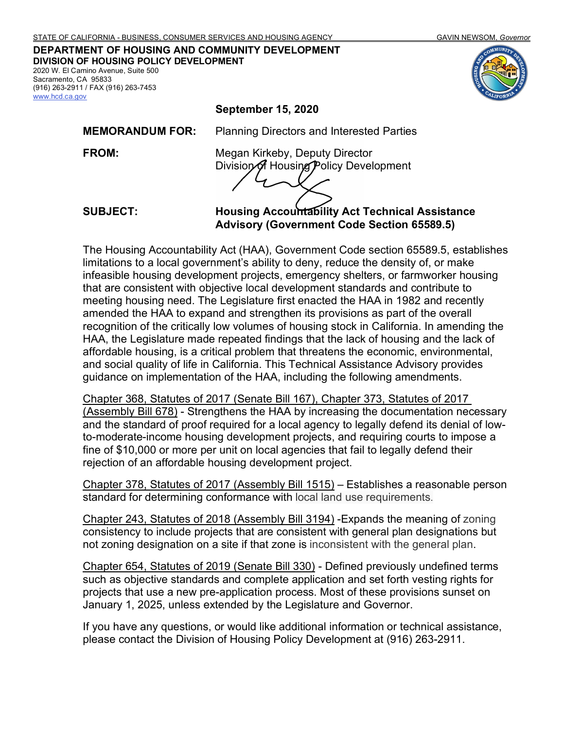#### **DEPARTMENT OF HOUSING AND COMMUNITY DEVELOPMENT DIVISION OF HOUSING POLICY DEVELOPMENT** 2020 W. El Camino Avenue, Suite 500

Sacramento, CA 95833 (916) 263-2911 / FAX (916) 263-7453 [www.hcd.ca.gov](http://www.hcd.ca.gov/)

**September 15, 2020**

**MEMORANDUM FOR:** Planning Directors and Interested Parties

**FROM:** Megan Kirkeby, Deputy Director Division of Housing Policy Development

**SUBJECT: Housing Accountability Act Technical Assistance Advisory (Government Code Section 65589.5)** 

The Housing Accountability Act (HAA), Government Code section 65589.5, establishes limitations to a local government's ability to deny, reduce the density of, or make infeasible housing development projects, emergency shelters, or farmworker housing that are consistent with objective local development standards and contribute to meeting housing need. The Legislature first enacted the HAA in 1982 and recently amended the HAA to expand and strengthen its provisions as part of the overall recognition of the critically low volumes of housing stock in California. In amending the HAA, the Legislature made repeated findings that the lack of housing and the lack of affordable housing, is a critical problem that threatens the economic, environmental, and social quality of life in California. This Technical Assistance Advisory provides guidance on implementation of the HAA, including the following amendments.

Chapter 368, Statutes of 2017 (Senate Bill 167), Chapter 373, Statutes of 2017 (Assembly Bill 678) - Strengthens the HAA by increasing the documentation necessary and the standard of proof required for a local agency to legally defend its denial of lowto-moderate-income housing development projects, and requiring courts to impose a fine of \$10,000 or more per unit on local agencies that fail to legally defend their rejection of an affordable housing development project.

Chapter 378, Statutes of 2017 (Assembly Bill 1515) – Establishes a reasonable person standard for determining conformance with local land use requirements.

Chapter 243, Statutes of 2018 (Assembly Bill 3194) -Expands the meaning of zoning consistency to include projects that are consistent with general plan designations but not zoning designation on a site if that zone is inconsistent with the general plan.

Chapter 654, Statutes of 2019 (Senate Bill 330) - Defined previously undefined terms such as objective standards and complete application and set forth vesting rights for projects that use a new pre-application process. Most of these provisions sunset on January 1, 2025, unless extended by the Legislature and Governor.

If you have any questions, or would like additional information or technical assistance, please contact the Division of Housing Policy Development at (916) 263-2911.

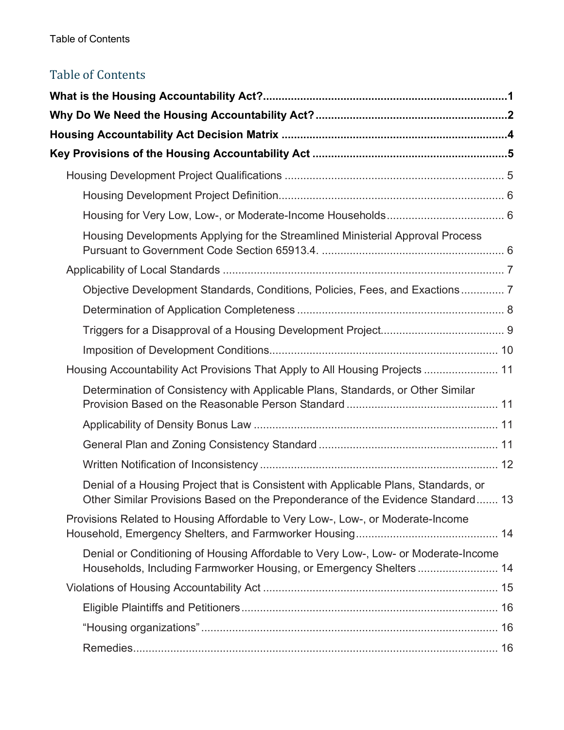# Table of Contents

| Housing Developments Applying for the Streamlined Ministerial Approval Process                                                                                         |  |
|------------------------------------------------------------------------------------------------------------------------------------------------------------------------|--|
|                                                                                                                                                                        |  |
| Objective Development Standards, Conditions, Policies, Fees, and Exactions 7                                                                                           |  |
|                                                                                                                                                                        |  |
|                                                                                                                                                                        |  |
|                                                                                                                                                                        |  |
| Housing Accountability Act Provisions That Apply to All Housing Projects  11                                                                                           |  |
| Determination of Consistency with Applicable Plans, Standards, or Other Similar                                                                                        |  |
|                                                                                                                                                                        |  |
|                                                                                                                                                                        |  |
|                                                                                                                                                                        |  |
| Denial of a Housing Project that is Consistent with Applicable Plans, Standards, or<br>Other Similar Provisions Based on the Preponderance of the Evidence Standard 13 |  |
| Provisions Related to Housing Affordable to Very Low-, Low-, or Moderate-Income                                                                                        |  |
| Denial or Conditioning of Housing Affordable to Very Low-, Low- or Moderate-Income<br>Households, Including Farmworker Housing, or Emergency Shelters 14               |  |
|                                                                                                                                                                        |  |
|                                                                                                                                                                        |  |
|                                                                                                                                                                        |  |
|                                                                                                                                                                        |  |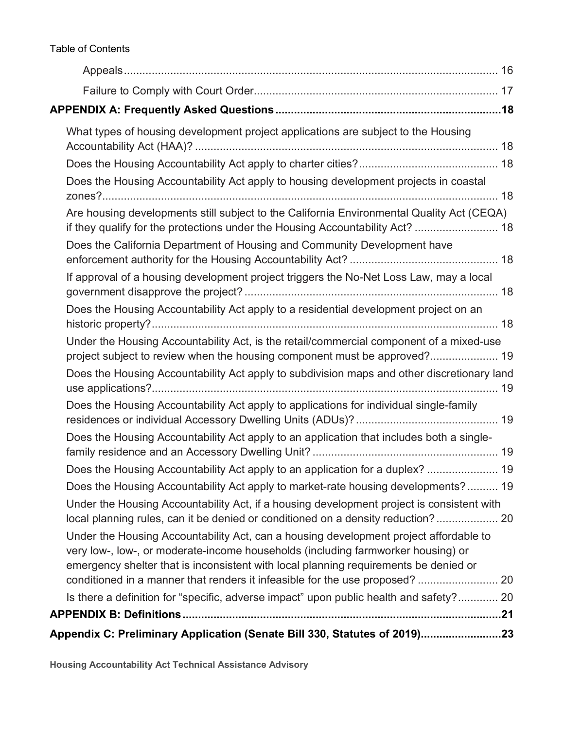Table of Contents

| What types of housing development project applications are subject to the Housing                                                                                                                                                                                                                                                                 |  |
|---------------------------------------------------------------------------------------------------------------------------------------------------------------------------------------------------------------------------------------------------------------------------------------------------------------------------------------------------|--|
|                                                                                                                                                                                                                                                                                                                                                   |  |
| Does the Housing Accountability Act apply to housing development projects in coastal                                                                                                                                                                                                                                                              |  |
| Are housing developments still subject to the California Environmental Quality Act (CEQA)<br>if they qualify for the protections under the Housing Accountability Act?  18                                                                                                                                                                        |  |
| Does the California Department of Housing and Community Development have                                                                                                                                                                                                                                                                          |  |
| If approval of a housing development project triggers the No-Net Loss Law, may a local                                                                                                                                                                                                                                                            |  |
| Does the Housing Accountability Act apply to a residential development project on an                                                                                                                                                                                                                                                              |  |
| Under the Housing Accountability Act, is the retail/commercial component of a mixed-use<br>project subject to review when the housing component must be approved? 19                                                                                                                                                                              |  |
| Does the Housing Accountability Act apply to subdivision maps and other discretionary land                                                                                                                                                                                                                                                        |  |
| Does the Housing Accountability Act apply to applications for individual single-family                                                                                                                                                                                                                                                            |  |
| Does the Housing Accountability Act apply to an application that includes both a single-                                                                                                                                                                                                                                                          |  |
| Does the Housing Accountability Act apply to an application for a duplex?  19                                                                                                                                                                                                                                                                     |  |
| Does the Housing Accountability Act apply to market-rate housing developments? 19                                                                                                                                                                                                                                                                 |  |
| Under the Housing Accountability Act, if a housing development project is consistent with<br>local planning rules, can it be denied or conditioned on a density reduction? 20                                                                                                                                                                     |  |
| Under the Housing Accountability Act, can a housing development project affordable to<br>very low-, low-, or moderate-income households (including farmworker housing) or<br>emergency shelter that is inconsistent with local planning requirements be denied or<br>conditioned in a manner that renders it infeasible for the use proposed?  20 |  |
| Is there a definition for "specific, adverse impact" upon public health and safety? 20                                                                                                                                                                                                                                                            |  |
|                                                                                                                                                                                                                                                                                                                                                   |  |
| Appendix C: Preliminary Application (Senate Bill 330, Statutes of 2019)23                                                                                                                                                                                                                                                                         |  |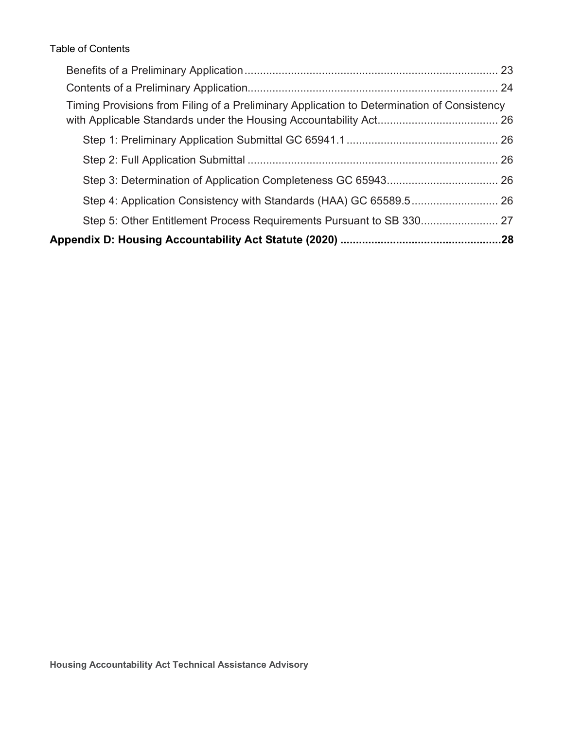Table of Contents

| Timing Provisions from Filing of a Preliminary Application to Determination of Consistency |  |
|--------------------------------------------------------------------------------------------|--|
|                                                                                            |  |
|                                                                                            |  |
|                                                                                            |  |
|                                                                                            |  |
|                                                                                            |  |
|                                                                                            |  |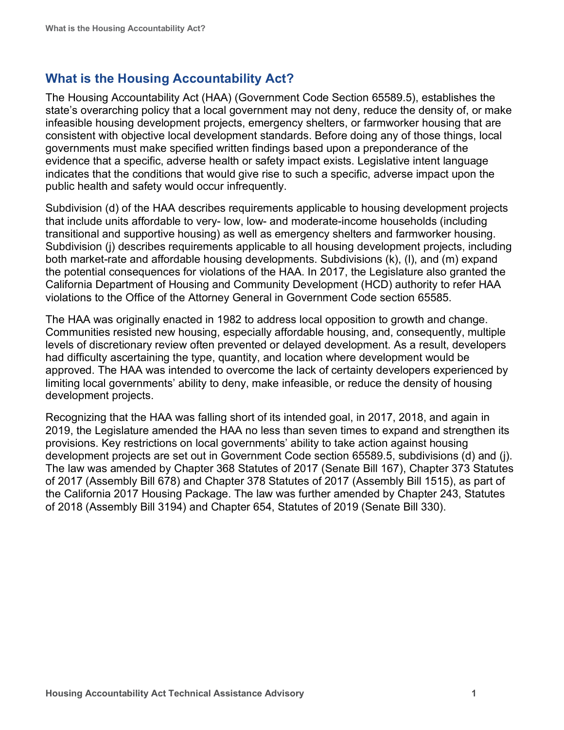# <span id="page-4-0"></span>**What is the Housing Accountability Act?**

The Housing Accountability Act (HAA) (Government Code Section 65589.5), establishes the state's overarching policy that a local government may not deny, reduce the density of, or make infeasible housing development projects, emergency shelters, or farmworker housing that are consistent with objective local development standards. Before doing any of those things, local governments must make specified written findings based upon a preponderance of the evidence that a specific, adverse health or safety impact exists. Legislative intent language indicates that the conditions that would give rise to such a specific, adverse impact upon the public health and safety would occur infrequently.

Subdivision (d) of the HAA describes requirements applicable to housing development projects that include units affordable to very- low, low- and moderate-income households (including transitional and supportive housing) as well as emergency shelters and farmworker housing. Subdivision (j) describes requirements applicable to all housing development projects, including both market-rate and affordable housing developments. Subdivisions (k), (l), and (m) expand the potential consequences for violations of the HAA. In 2017, the Legislature also granted the California Department of Housing and Community Development (HCD) authority to refer HAA violations to the Office of the Attorney General in Government Code section 65585.

The HAA was originally enacted in 1982 to address local opposition to growth and change. Communities resisted new housing, especially affordable housing, and, consequently, multiple levels of discretionary review often prevented or delayed development. As a result, developers had difficulty ascertaining the type, quantity, and location where development would be approved. The HAA was intended to overcome the lack of certainty developers experienced by limiting local governments' ability to deny, make infeasible, or reduce the density of housing development projects.

Recognizing that the HAA was falling short of its intended goal, in 2017, 2018, and again in 2019, the Legislature amended the HAA no less than seven times to expand and strengthen its provisions. Key restrictions on local governments' ability to take action against housing development projects are set out in Government Code section 65589.5, subdivisions (d) and (j). The law was amended by Chapter 368 Statutes of 2017 (Senate Bill 167), Chapter 373 Statutes of 2017 (Assembly Bill 678) and Chapter 378 Statutes of 2017 (Assembly Bill 1515), as part of the California 2017 Housing Package. The law was further amended by Chapter 243, Statutes of 2018 (Assembly Bill 3194) and Chapter 654, Statutes of 2019 (Senate Bill 330).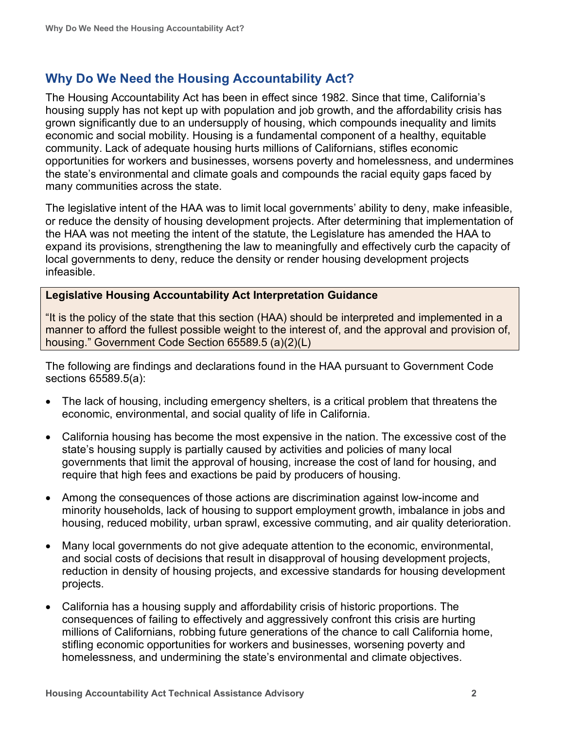# <span id="page-5-0"></span>**Why Do We Need the Housing Accountability Act?**

The Housing Accountability Act has been in effect since 1982. Since that time, California's housing supply has not kept up with population and job growth, and the affordability crisis has grown significantly due to an undersupply of housing, which compounds inequality and limits economic and social mobility. Housing is a fundamental component of a healthy, equitable community. Lack of adequate housing hurts millions of Californians, stifles economic opportunities for workers and businesses, worsens poverty and homelessness, and undermines the state's environmental and climate goals and compounds the racial equity gaps faced by many communities across the state.

The legislative intent of the HAA was to limit local governments' ability to deny, make infeasible, or reduce the density of housing development projects. After determining that implementation of the HAA was not meeting the intent of the statute, the Legislature has amended the HAA to expand its provisions, strengthening the law to meaningfully and effectively curb the capacity of local governments to deny, reduce the density or render housing development projects infeasible.

#### **Legislative Housing Accountability Act Interpretation Guidance**

"It is the policy of the state that this section (HAA) should be interpreted and implemented in a manner to afford the fullest possible weight to the interest of, and the approval and provision of, housing." Government Code Section 65589.5 (a)(2)(L)

The following are findings and declarations found in the HAA pursuant to Government Code sections 65589.5(a):

- The lack of housing, including emergency shelters, is a critical problem that threatens the economic, environmental, and social quality of life in California.
- California housing has become the most expensive in the nation. The excessive cost of the state's housing supply is partially caused by activities and policies of many local governments that limit the approval of housing, increase the cost of land for housing, and require that high fees and exactions be paid by producers of housing.
- Among the consequences of those actions are discrimination against low-income and minority households, lack of housing to support employment growth, imbalance in jobs and housing, reduced mobility, urban sprawl, excessive commuting, and air quality deterioration.
- Many local governments do not give adequate attention to the economic, environmental, and social costs of decisions that result in disapproval of housing development projects, reduction in density of housing projects, and excessive standards for housing development projects.
- California has a housing supply and affordability crisis of historic proportions. The consequences of failing to effectively and aggressively confront this crisis are hurting millions of Californians, robbing future generations of the chance to call California home, stifling economic opportunities for workers and businesses, worsening poverty and homelessness, and undermining the state's environmental and climate objectives.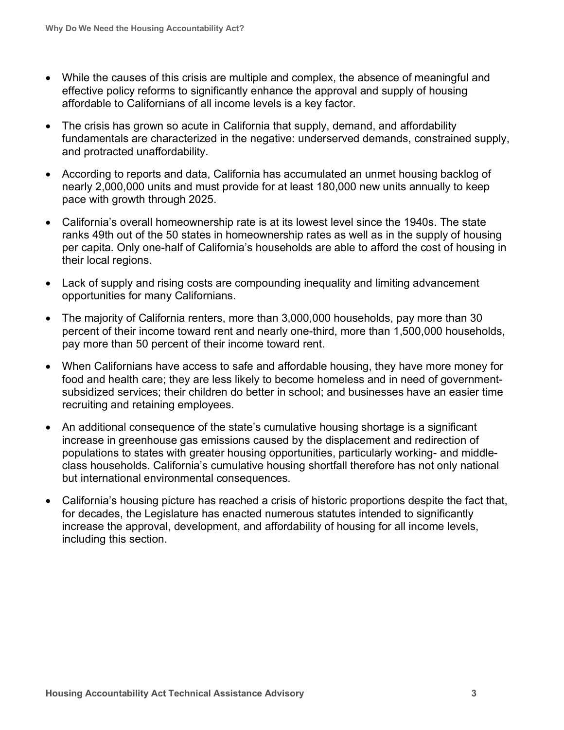- While the causes of this crisis are multiple and complex, the absence of meaningful and effective policy reforms to significantly enhance the approval and supply of housing affordable to Californians of all income levels is a key factor.
- The crisis has grown so acute in California that supply, demand, and affordability fundamentals are characterized in the negative: underserved demands, constrained supply, and protracted unaffordability.
- According to reports and data, California has accumulated an unmet housing backlog of nearly 2,000,000 units and must provide for at least 180,000 new units annually to keep pace with growth through 2025.
- California's overall homeownership rate is at its lowest level since the 1940s. The state ranks 49th out of the 50 states in homeownership rates as well as in the supply of housing per capita. Only one-half of California's households are able to afford the cost of housing in their local regions.
- Lack of supply and rising costs are compounding inequality and limiting advancement opportunities for many Californians.
- The majority of California renters, more than 3,000,000 households, pay more than 30 percent of their income toward rent and nearly one-third, more than 1,500,000 households, pay more than 50 percent of their income toward rent.
- When Californians have access to safe and affordable housing, they have more money for food and health care; they are less likely to become homeless and in need of governmentsubsidized services; their children do better in school; and businesses have an easier time recruiting and retaining employees.
- An additional consequence of the state's cumulative housing shortage is a significant increase in greenhouse gas emissions caused by the displacement and redirection of populations to states with greater housing opportunities, particularly working- and middleclass households. California's cumulative housing shortfall therefore has not only national but international environmental consequences.
- California's housing picture has reached a crisis of historic proportions despite the fact that, for decades, the Legislature has enacted numerous statutes intended to significantly increase the approval, development, and affordability of housing for all income levels, including this section.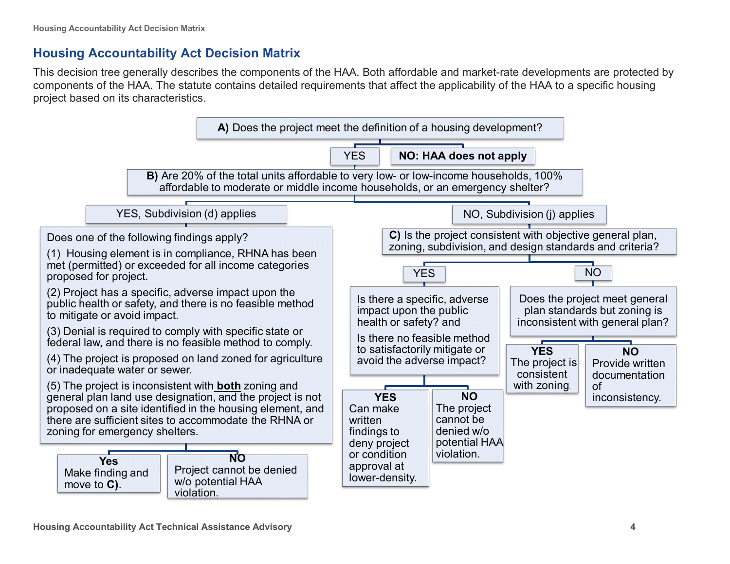# **Housing Accountability Act Decision Matrix**

This decision tree generally describes the components of the HAA. Both affordable and market-rate developments are protected by components of the HAA. The statute contains detailed requirements that affect the applicability of the HAA to a specific housing project based on its characteristics.

<span id="page-7-0"></span>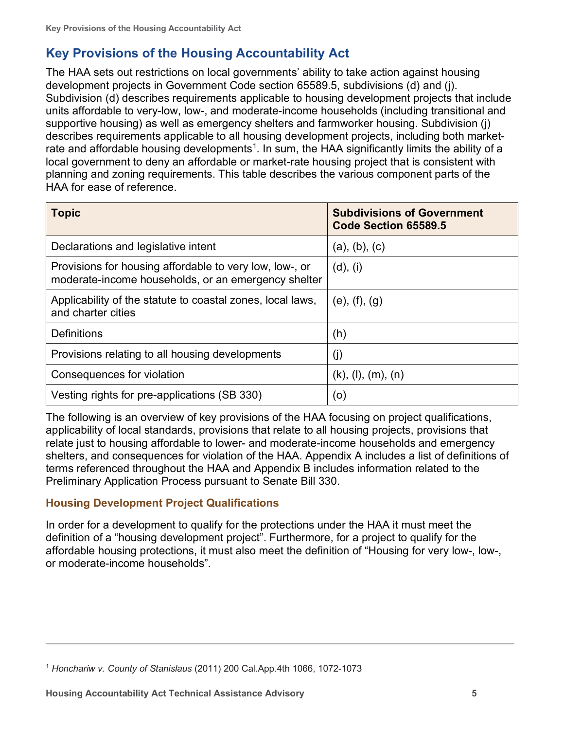# <span id="page-8-0"></span>**Key Provisions of the Housing Accountability Act**

The HAA sets out restrictions on local governments' ability to take action against housing development projects in Government Code section 65589.5, subdivisions (d) and (j). Subdivision (d) describes requirements applicable to housing development projects that include units affordable to very-low, low-, and moderate-income households (including transitional and supportive housing) as well as emergency shelters and farmworker housing. Subdivision (j) describes requirements applicable to all housing development projects, including both marketrate and affordable housing developments<sup>1</sup>. In sum, the HAA significantly limits the ability of a local government to deny an affordable or market-rate housing project that is consistent with planning and zoning requirements. This table describes the various component parts of the HAA for ease of reference.

| <b>Topic</b>                                                                                                   | <b>Subdivisions of Government</b><br>Code Section 65589.5 |
|----------------------------------------------------------------------------------------------------------------|-----------------------------------------------------------|
| Declarations and legislative intent                                                                            | (a), (b), (c)                                             |
| Provisions for housing affordable to very low, low-, or<br>moderate-income households, or an emergency shelter | (d), (i)                                                  |
| Applicability of the statute to coastal zones, local laws,<br>and charter cities                               | $(e)$ , $(f)$ , $(g)$                                     |
| <b>Definitions</b>                                                                                             | (h)                                                       |
| Provisions relating to all housing developments                                                                | (j)                                                       |
| Consequences for violation                                                                                     | $(k)$ , $(l)$ , $(m)$ , $(n)$                             |
| Vesting rights for pre-applications (SB 330)                                                                   | (o)                                                       |

The following is an overview of key provisions of the HAA focusing on project qualifications, applicability of local standards, provisions that relate to all housing projects, provisions that relate just to housing affordable to lower- and moderate-income households and emergency shelters, and consequences for violation of the HAA. Appendix A includes a list of definitions of terms referenced throughout the HAA and Appendix B includes information related to the Preliminary Application Process pursuant to Senate Bill 330.

# <span id="page-8-1"></span>**Housing Development Project Qualifications**

In order for a development to qualify for the protections under the HAA it must meet the definition of a "housing development project". Furthermore, for a project to qualify for the affordable housing protections, it must also meet the definition of "Housing for very low-, low-, or moderate-income households".

<span id="page-8-2"></span><sup>1</sup> *Honchariw v. County of Stanislaus* (2011) 200 Cal.App.4th 1066, 1072-1073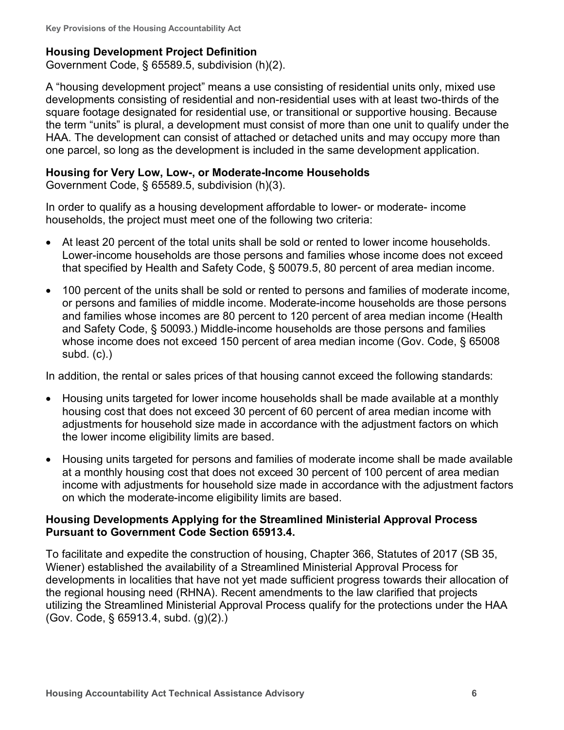#### <span id="page-9-0"></span>**Housing Development Project Definition**

Government Code, § 65589.5, subdivision (h)(2).

A "housing development project" means a use consisting of residential units only, mixed use developments consisting of residential and non-residential uses with at least two-thirds of the square footage designated for residential use, or transitional or supportive housing. Because the term "units" is plural, a development must consist of more than one unit to qualify under the HAA. The development can consist of attached or detached units and may occupy more than one parcel, so long as the development is included in the same development application.

#### <span id="page-9-1"></span>**Housing for Very Low, Low-, or Moderate-Income Households**

Government Code, § 65589.5, subdivision (h)(3).

In order to qualify as a housing development affordable to lower- or moderate- income households, the project must meet one of the following two criteria:

- At least 20 percent of the total units shall be sold or rented to lower income households. Lower-income households are those persons and families whose income does not exceed that specified by Health and Safety Code, § 50079.5, 80 percent of area median income.
- 100 percent of the units shall be sold or rented to persons and families of moderate income, or persons and families of middle income. Moderate-income households are those persons and families whose incomes are 80 percent to 120 percent of area median income (Health and Safety Code, § 50093.) Middle-income households are those persons and families whose income does not exceed 150 percent of area median income (Gov. Code, § 65008 subd. (c).)

In addition, the rental or sales prices of that housing cannot exceed the following standards:

- Housing units targeted for lower income households shall be made available at a monthly housing cost that does not exceed 30 percent of 60 percent of area median income with adjustments for household size made in accordance with the adjustment factors on which the lower income eligibility limits are based.
- Housing units targeted for persons and families of moderate income shall be made available at a monthly housing cost that does not exceed 30 percent of 100 percent of area median income with adjustments for household size made in accordance with the adjustment factors on which the moderate-income eligibility limits are based.

### <span id="page-9-2"></span>**Housing Developments Applying for the Streamlined Ministerial Approval Process Pursuant to Government Code Section 65913.4.**

To facilitate and expedite the construction of housing, Chapter 366, Statutes of 2017 (SB 35, Wiener) established the availability of a Streamlined Ministerial Approval Process for developments in localities that have not yet made sufficient progress towards their allocation of the regional housing need (RHNA). Recent amendments to the law clarified that projects utilizing the Streamlined Ministerial Approval Process qualify for the protections under the HAA (Gov. Code, § 65913.4, subd. (g)(2).)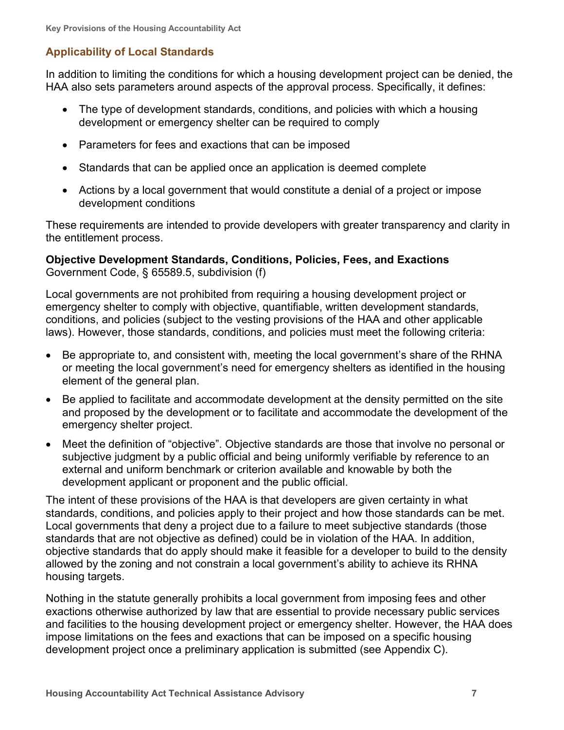# <span id="page-10-0"></span>**Applicability of Local Standards**

In addition to limiting the conditions for which a housing development project can be denied, the HAA also sets parameters around aspects of the approval process. Specifically, it defines:

- The type of development standards, conditions, and policies with which a housing development or emergency shelter can be required to comply
- Parameters for fees and exactions that can be imposed
- Standards that can be applied once an application is deemed complete
- Actions by a local government that would constitute a denial of a project or impose development conditions

These requirements are intended to provide developers with greater transparency and clarity in the entitlement process.

<span id="page-10-1"></span>**Objective Development Standards, Conditions, Policies, Fees, and Exactions**  Government Code, § 65589.5, subdivision (f)

Local governments are not prohibited from requiring a housing development project or emergency shelter to comply with objective, quantifiable, written development standards, conditions, and policies (subject to the vesting provisions of the HAA and other applicable laws). However, those standards, conditions, and policies must meet the following criteria:

- Be appropriate to, and consistent with, meeting the local government's share of the RHNA or meeting the local government's need for emergency shelters as identified in the housing element of the general plan.
- Be applied to facilitate and accommodate development at the density permitted on the site and proposed by the development or to facilitate and accommodate the development of the emergency shelter project.
- Meet the definition of "objective". Objective standards are those that involve no personal or subjective judgment by a public official and being uniformly verifiable by reference to an external and uniform benchmark or criterion available and knowable by both the development applicant or proponent and the public official.

The intent of these provisions of the HAA is that developers are given certainty in what standards, conditions, and policies apply to their project and how those standards can be met. Local governments that deny a project due to a failure to meet subjective standards (those standards that are not objective as defined) could be in violation of the HAA. In addition, objective standards that do apply should make it feasible for a developer to build to the density allowed by the zoning and not constrain a local government's ability to achieve its RHNA housing targets.

Nothing in the statute generally prohibits a local government from imposing fees and other exactions otherwise authorized by law that are essential to provide necessary public services and facilities to the housing development project or emergency shelter. However, the HAA does impose limitations on the fees and exactions that can be imposed on a specific housing development project once a preliminary application is submitted (see Appendix C).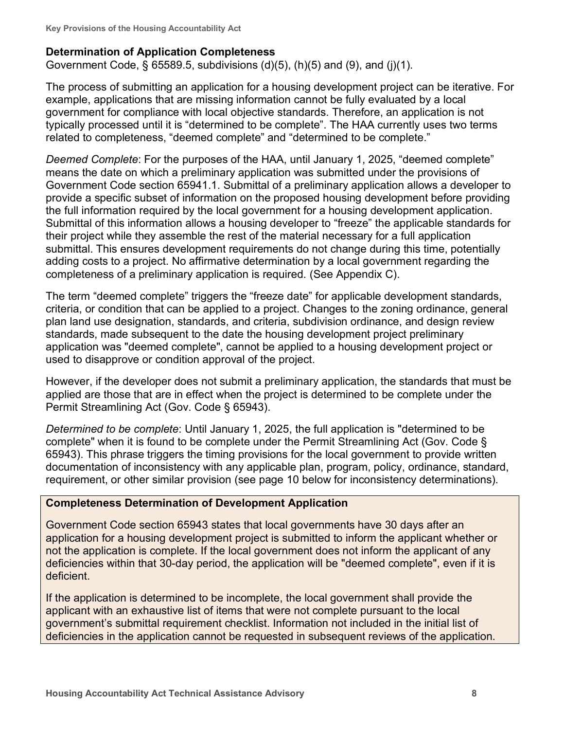### <span id="page-11-0"></span>**Determination of Application Completeness**

Government Code, § 65589.5, subdivisions  $(d)(5)$ ,  $(h)(5)$  and  $(9)$ , and  $(i)(1)$ .

The process of submitting an application for a housing development project can be iterative. For example, applications that are missing information cannot be fully evaluated by a local government for compliance with local objective standards. Therefore, an application is not typically processed until it is "determined to be complete". The HAA currently uses two terms related to completeness, "deemed complete" and "determined to be complete."

*Deemed Complete*: For the purposes of the HAA, until January 1, 2025, "deemed complete" means the date on which a preliminary application was submitted under the provisions of Government Code section 65941.1. Submittal of a preliminary application allows a developer to provide a specific subset of information on the proposed housing development before providing the full information required by the local government for a housing development application. Submittal of this information allows a housing developer to "freeze" the applicable standards for their project while they assemble the rest of the material necessary for a full application submittal. This ensures development requirements do not change during this time, potentially adding costs to a project. No affirmative determination by a local government regarding the completeness of a preliminary application is required. (See Appendix C).

The term "deemed complete" triggers the "freeze date" for applicable development standards, criteria, or condition that can be applied to a project. Changes to the zoning ordinance, general plan land use designation, standards, and criteria, subdivision ordinance, and design review standards, made subsequent to the date the housing development project preliminary application was "deemed complete", cannot be applied to a housing development project or used to disapprove or condition approval of the project.

However, if the developer does not submit a preliminary application, the standards that must be applied are those that are in effect when the project is determined to be complete under the Permit Streamlining Act (Gov. Code § 65943).

*Determined to be complete*: Until January 1, 2025, the full application is "determined to be complete" when it is found to be complete under the Permit Streamlining Act (Gov. Code § 65943). This phrase triggers the timing provisions for the local government to provide written documentation of inconsistency with any applicable plan, program, policy, ordinance, standard, requirement, or other similar provision (see page 10 below for inconsistency determinations).

#### **Completeness Determination of Development Application**

Government Code section 65943 states that local governments have 30 days after an application for a housing development project is submitted to inform the applicant whether or not the application is complete. If the local government does not inform the applicant of any deficiencies within that 30-day period, the application will be "deemed complete", even if it is deficient.

If the application is determined to be incomplete, the local government shall provide the applicant with an exhaustive list of items that were not complete pursuant to the local government's submittal requirement checklist. Information not included in the initial list of deficiencies in the application cannot be requested in subsequent reviews of the application.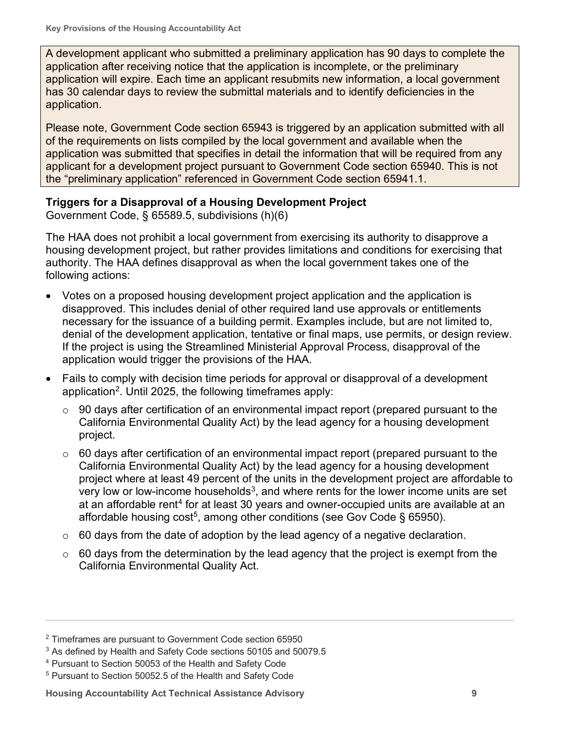A development applicant who submitted a preliminary application has 90 days to complete the application after receiving notice that the application is incomplete, or the preliminary application will expire. Each time an applicant resubmits new information, a local government has 30 calendar days to review the submittal materials and to identify deficiencies in the application.

Please note, Government Code section 65943 is triggered by an application submitted with all of the requirements on lists compiled by the local government and available when the application was submitted that specifies in detail the information that will be required from any applicant for a development project pursuant to Government Code section 65940. This is not the "preliminary application" referenced in Government Code section 65941.1.

### <span id="page-12-0"></span>**Triggers for a Disapproval of a Housing Development Project**

Government Code, § 65589.5, subdivisions (h)(6)

The HAA does not prohibit a local government from exercising its authority to disapprove a housing development project, but rather provides limitations and conditions for exercising that authority. The HAA defines disapproval as when the local government takes one of the following actions:

- Votes on a proposed housing development project application and the application is disapproved. This includes denial of other required land use approvals or entitlements necessary for the issuance of a building permit. Examples include, but are not limited to, denial of the development application, tentative or final maps, use permits, or design review. If the project is using the Streamlined Ministerial Approval Process, disapproval of the application would trigger the provisions of the HAA.
- Fails to comply with decision time periods for approval or disapproval of a development application<sup>2</sup>. Until 2025, the following timeframes apply:
	- $\circ$  90 days after certification of an environmental impact report (prepared pursuant to the California Environmental Quality Act) by the lead agency for a housing development project.
	- $\circ$  60 days after certification of an environmental impact report (prepared pursuant to the California Environmental Quality Act) by the lead agency for a housing development project where at least 49 percent of the units in the development project are affordable to very low or low-income households<sup>[3](#page-12-2)</sup>, and where rents for the lower income units are set at an affordable rent<sup>[4](#page-12-3)</sup> for at least 30 years and owner-occupied units are available at an affordable housing cost<sup>5</sup>, among other conditions (see Gov Code § 65950).
	- $\circ$  60 days from the date of adoption by the lead agency of a negative declaration.
	- $\circ$  60 days from the determination by the lead agency that the project is exempt from the California Environmental Quality Act.

<span id="page-12-1"></span><sup>2</sup> Timeframes are pursuant to Government Code section 65950

<span id="page-12-2"></span><sup>3</sup> As defined by Health and Safety Code sections 50105 and 50079.5

<span id="page-12-3"></span><sup>4</sup> Pursuant to Section 50053 of the Health and Safety Code

<span id="page-12-4"></span><sup>5</sup> Pursuant to Section 50052.5 of the Health and Safety Code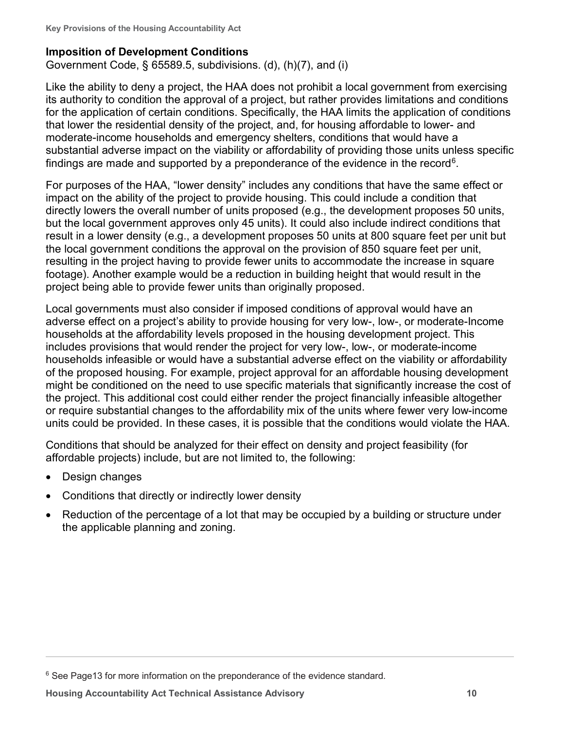### <span id="page-13-0"></span>**Imposition of Development Conditions**

Government Code, § 65589.5, subdivisions. (d), (h)(7), and (i)

Like the ability to deny a project, the HAA does not prohibit a local government from exercising its authority to condition the approval of a project, but rather provides limitations and conditions for the application of certain conditions. Specifically, the HAA limits the application of conditions that lower the residential density of the project, and, for housing affordable to lower- and moderate-income households and emergency shelters, conditions that would have a substantial adverse impact on the viability or affordability of providing those units unless specific findings are made and supported by a preponderance of the evidence in the record<sup>6</sup>.

For purposes of the HAA, "lower density" includes any conditions that have the same effect or impact on the ability of the project to provide housing. This could include a condition that directly lowers the overall number of units proposed (e.g., the development proposes 50 units, but the local government approves only 45 units). It could also include indirect conditions that result in a lower density (e.g., a development proposes 50 units at 800 square feet per unit but the local government conditions the approval on the provision of 850 square feet per unit, resulting in the project having to provide fewer units to accommodate the increase in square footage). Another example would be a reduction in building height that would result in the project being able to provide fewer units than originally proposed.

Local governments must also consider if imposed conditions of approval would have an adverse effect on a project's ability to provide housing for very low-, low-, or moderate-Income households at the affordability levels proposed in the housing development project. This includes provisions that would render the project for very low-, low-, or moderate-income households infeasible or would have a substantial adverse effect on the viability or affordability of the proposed housing. For example, project approval for an affordable housing development might be conditioned on the need to use specific materials that significantly increase the cost of the project. This additional cost could either render the project financially infeasible altogether or require substantial changes to the affordability mix of the units where fewer very low-income units could be provided. In these cases, it is possible that the conditions would violate the HAA.

Conditions that should be analyzed for their effect on density and project feasibility (for affordable projects) include, but are not limited to, the following:

- Design changes
- Conditions that directly or indirectly lower density
- Reduction of the percentage of a lot that may be occupied by a building or structure under the applicable planning and zoning.

<span id="page-13-1"></span><sup>&</sup>lt;sup>6</sup> See Page13 for more information on the preponderance of the evidence standard.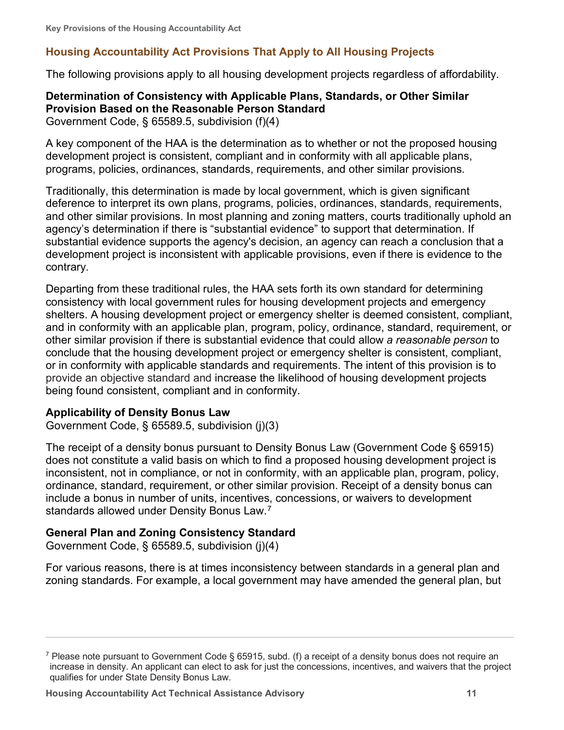# <span id="page-14-0"></span>**Housing Accountability Act Provisions That Apply to All Housing Projects**

The following provisions apply to all housing development projects regardless of affordability.

### <span id="page-14-1"></span>**Determination of Consistency with Applicable Plans, Standards, or Other Similar Provision Based on the Reasonable Person Standard**

Government Code, § 65589.5, subdivision (f)(4)

A key component of the HAA is the determination as to whether or not the proposed housing development project is consistent, compliant and in conformity with all applicable plans, programs, policies, ordinances, standards, requirements, and other similar provisions.

Traditionally, this determination is made by local government, which is given significant deference to interpret its own plans, programs, policies, ordinances, standards, requirements, and other similar provisions. In most planning and zoning matters, courts traditionally uphold an agency's determination if there is "substantial evidence" to support that determination. If substantial evidence supports the agency's decision, an agency can reach a conclusion that a development project is inconsistent with applicable provisions, even if there is evidence to the contrary.

Departing from these traditional rules, the HAA sets forth its own standard for determining consistency with local government rules for housing development projects and emergency shelters. A housing development project or emergency shelter is deemed consistent, compliant, and in conformity with an applicable plan, program, policy, ordinance, standard, requirement, or other similar provision if there is substantial evidence that could allow *a reasonable person* to conclude that the housing development project or emergency shelter is consistent, compliant, or in conformity with applicable standards and requirements. The intent of this provision is to provide an objective standard and increase the likelihood of housing development projects being found consistent, compliant and in conformity.

#### <span id="page-14-2"></span>**Applicability of Density Bonus Law**

Government Code, § 65589.5, subdivision (j)(3)

The receipt of a density bonus pursuant to Density Bonus Law (Government Code § 65915) does not constitute a valid basis on which to find a proposed housing development project is inconsistent, not in compliance, or not in conformity, with an applicable plan, program, policy, ordinance, standard, requirement, or other similar provision. Receipt of a density bonus can include a bonus in number of units, incentives, concessions, or waivers to development standards allowed under Density Bonus Law. $^7$  $^7$ 

#### <span id="page-14-3"></span>**General Plan and Zoning Consistency Standard**

Government Code, § 65589.5, subdivision (j)(4)

For various reasons, there is at times inconsistency between standards in a general plan and zoning standards. For example, a local government may have amended the general plan, but

<span id="page-14-4"></span><sup>&</sup>lt;sup>7</sup> Please note pursuant to Government Code § 65915, subd. (f) a receipt of a density bonus does not require an increase in density. An applicant can elect to ask for just the concessions, incentives, and waivers that the project qualifies for under State Density Bonus Law.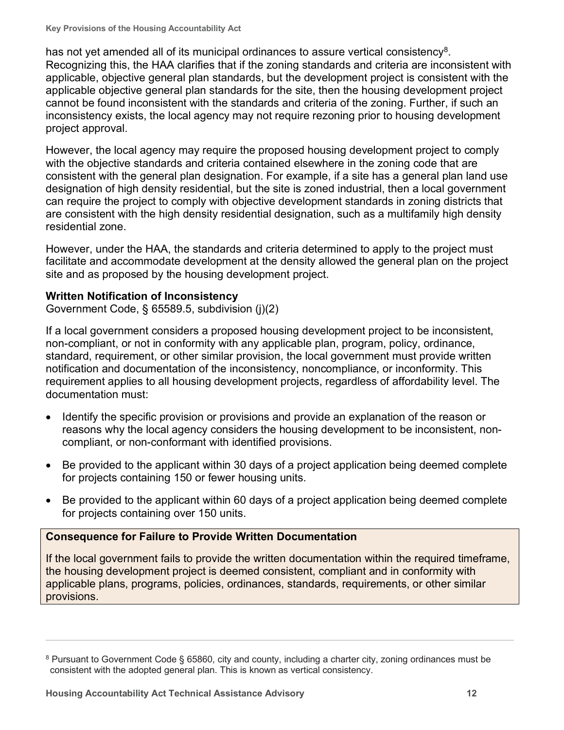has not yet amended all of its municipal ordinances to assure vertical consistency<sup>8</sup>. Recognizing this, the HAA clarifies that if the zoning standards and criteria are inconsistent with applicable, objective general plan standards, but the development project is consistent with the applicable objective general plan standards for the site, then the housing development project cannot be found inconsistent with the standards and criteria of the zoning. Further, if such an inconsistency exists, the local agency may not require rezoning prior to housing development project approval.

However, the local agency may require the proposed housing development project to comply with the objective standards and criteria contained elsewhere in the zoning code that are consistent with the general plan designation. For example, if a site has a general plan land use designation of high density residential, but the site is zoned industrial, then a local government can require the project to comply with objective development standards in zoning districts that are consistent with the high density residential designation, such as a multifamily high density residential zone.

However, under the HAA, the standards and criteria determined to apply to the project must facilitate and accommodate development at the density allowed the general plan on the project site and as proposed by the housing development project.

### <span id="page-15-0"></span>**Written Notification of Inconsistency**

Government Code, § 65589.5, subdivision (j)(2)

If a local government considers a proposed housing development project to be inconsistent, non-compliant, or not in conformity with any applicable plan, program, policy, ordinance, standard, requirement, or other similar provision, the local government must provide written notification and documentation of the inconsistency, noncompliance, or inconformity. This requirement applies to all housing development projects, regardless of affordability level. The documentation must:

- Identify the specific provision or provisions and provide an explanation of the reason or reasons why the local agency considers the housing development to be inconsistent, noncompliant, or non-conformant with identified provisions.
- Be provided to the applicant within 30 days of a project application being deemed complete for projects containing 150 or fewer housing units.
- Be provided to the applicant within 60 days of a project application being deemed complete for projects containing over 150 units.

# **Consequence for Failure to Provide Written Documentation**

If the local government fails to provide the written documentation within the required timeframe, the housing development project is deemed consistent, compliant and in conformity with applicable plans, programs, policies, ordinances, standards, requirements, or other similar provisions.

<span id="page-15-1"></span><sup>8</sup> Pursuant to Government Code § 65860, city and county, including a charter city, zoning ordinances must be consistent with the adopted general plan. This is known as vertical consistency.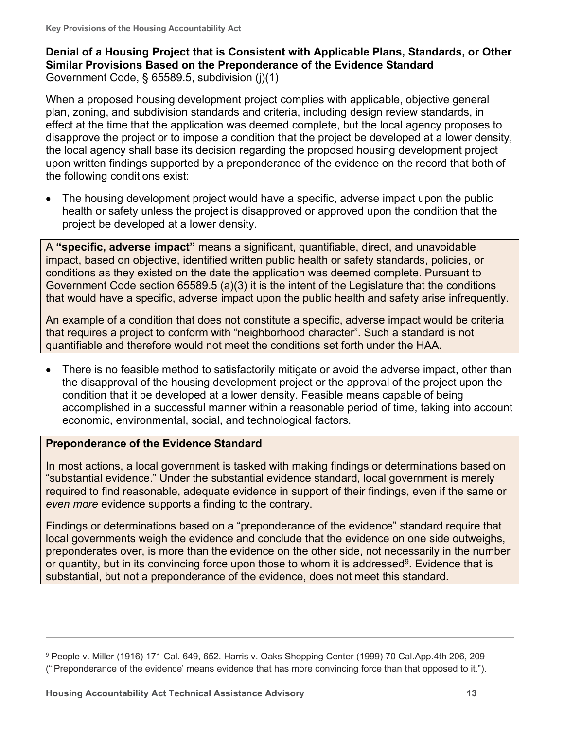# <span id="page-16-0"></span>**Denial of a Housing Project that is Consistent with Applicable Plans, Standards, or Other Similar Provisions Based on the Preponderance of the Evidence Standard** Government Code, § 65589.5, subdivision (j)(1)

When a proposed housing development project complies with applicable, objective general plan, zoning, and subdivision standards and criteria, including design review standards, in effect at the time that the application was deemed complete, but the local agency proposes to disapprove the project or to impose a condition that the project be developed at a lower density, the local agency shall base its decision regarding the proposed housing development project upon written findings supported by a preponderance of the evidence on the record that both of the following conditions exist:

• The housing development project would have a specific, adverse impact upon the public health or safety unless the project is disapproved or approved upon the condition that the project be developed at a lower density.

A **"specific, adverse impact"** means a significant, quantifiable, direct, and unavoidable impact, based on objective, identified written public health or safety standards, policies, or conditions as they existed on the date the application was deemed complete. Pursuant to Government Code section 65589.5 (a)(3) it is the intent of the Legislature that the conditions that would have a specific, adverse impact upon the public health and safety arise infrequently.

An example of a condition that does not constitute a specific, adverse impact would be criteria that requires a project to conform with "neighborhood character". Such a standard is not quantifiable and therefore would not meet the conditions set forth under the HAA.

• There is no feasible method to satisfactorily mitigate or avoid the adverse impact, other than the disapproval of the housing development project or the approval of the project upon the condition that it be developed at a lower density. Feasible means capable of being accomplished in a successful manner within a reasonable period of time, taking into account economic, environmental, social, and technological factors.

# **Preponderance of the Evidence Standard**

In most actions, a local government is tasked with making findings or determinations based on "substantial evidence." Under the substantial evidence standard, local government is merely required to find reasonable, adequate evidence in support of their findings, even if the same or *even more* evidence supports a finding to the contrary.

Findings or determinations based on a "preponderance of the evidence" standard require that local governments weigh the evidence and conclude that the evidence on one side outweighs, preponderates over, is more than the evidence on the other side, not necessarily in the number or quantity, but in its convincing force upon those to whom it is addressed<sup>[9](#page-16-1)</sup>. Evidence that is substantial, but not a preponderance of the evidence, does not meet this standard.

<span id="page-16-1"></span><sup>9</sup> People v. Miller (1916) 171 Cal. 649, 652. Harris v. Oaks Shopping Center (1999) 70 Cal.App.4th 206, 209 ("'Preponderance of the evidence' means evidence that has more convincing force than that opposed to it.").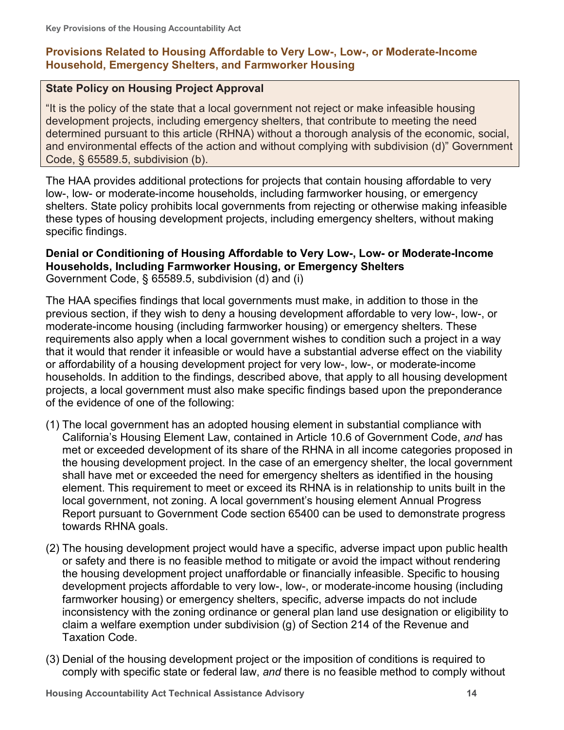# <span id="page-17-0"></span>**Provisions Related to Housing Affordable to Very Low-, Low-, or Moderate-Income Household, Emergency Shelters, and Farmworker Housing**

#### **State Policy on Housing Project Approval**

"It is the policy of the state that a local government not reject or make infeasible housing development projects, including emergency shelters, that contribute to meeting the need determined pursuant to this article (RHNA) without a thorough analysis of the economic, social, and environmental effects of the action and without complying with subdivision (d)" Government Code, § 65589.5, subdivision (b).

The HAA provides additional protections for projects that contain housing affordable to very low-, low- or moderate-income households, including farmworker housing, or emergency shelters. State policy prohibits local governments from rejecting or otherwise making infeasible these types of housing development projects, including emergency shelters, without making specific findings.

#### <span id="page-17-1"></span>**Denial or Conditioning of Housing Affordable to Very Low-, Low- or Moderate-Income Households, Including Farmworker Housing, or Emergency Shelters** Government Code, § 65589.5, subdivision (d) and (i)

The HAA specifies findings that local governments must make, in addition to those in the previous section, if they wish to deny a housing development affordable to very low-, low-, or moderate-income housing (including farmworker housing) or emergency shelters. These requirements also apply when a local government wishes to condition such a project in a way that it would that render it infeasible or would have a substantial adverse effect on the viability or affordability of a housing development project for very low-, low-, or moderate-income households. In addition to the findings, described above, that apply to all housing development projects, a local government must also make specific findings based upon the preponderance of the evidence of one of the following:

- (1) The local government has an adopted housing element in substantial compliance with California's Housing Element Law, contained in Article 10.6 of Government Code, *and* has met or exceeded development of its share of the RHNA in all income categories proposed in the housing development project. In the case of an emergency shelter, the local government shall have met or exceeded the need for emergency shelters as identified in the housing element. This requirement to meet or exceed its RHNA is in relationship to units built in the local government, not zoning. A local government's housing element Annual Progress Report pursuant to Government Code section 65400 can be used to demonstrate progress towards RHNA goals.
- (2) The housing development project would have a specific, adverse impact upon public health or safety and there is no feasible method to mitigate or avoid the impact without rendering the housing development project unaffordable or financially infeasible. Specific to housing development projects affordable to very low-, low-, or moderate-income housing (including farmworker housing) or emergency shelters, specific, adverse impacts do not include inconsistency with the zoning ordinance or general plan land use designation or eligibility to claim a welfare exemption under subdivision (g) of Section 214 of the Revenue and Taxation Code.
- (3) Denial of the housing development project or the imposition of conditions is required to comply with specific state or federal law, *and* there is no feasible method to comply without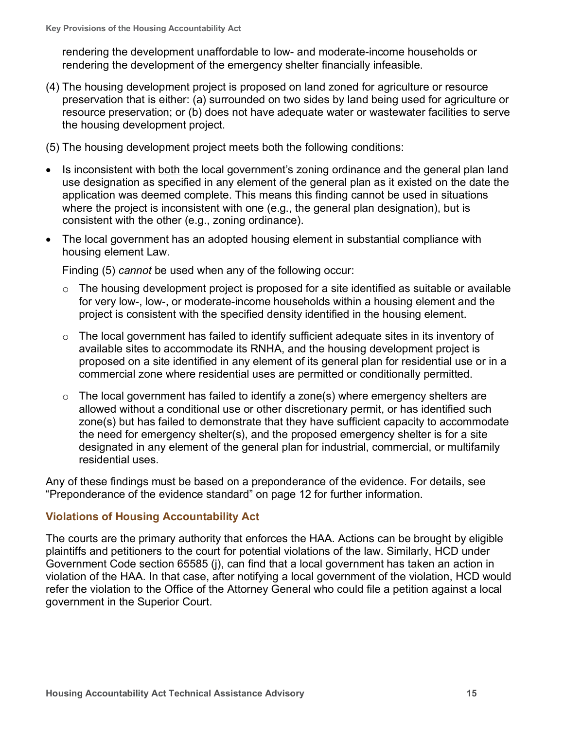rendering the development unaffordable to low- and moderate-income households or rendering the development of the emergency shelter financially infeasible.

- (4) The housing development project is proposed on land zoned for agriculture or resource preservation that is either: (a) surrounded on two sides by land being used for agriculture or resource preservation; or (b) does not have adequate water or wastewater facilities to serve the housing development project.
- (5) The housing development project meets both the following conditions:
- Is inconsistent with both the local government's zoning ordinance and the general plan land use designation as specified in any element of the general plan as it existed on the date the application was deemed complete. This means this finding cannot be used in situations where the project is inconsistent with one (e.g., the general plan designation), but is consistent with the other (e.g., zoning ordinance).
- The local government has an adopted housing element in substantial compliance with housing element Law.

Finding (5) *cannot* be used when any of the following occur:

- $\circ$  The housing development project is proposed for a site identified as suitable or available for very low-, low-, or moderate-income households within a housing element and the project is consistent with the specified density identified in the housing element.
- $\circ$  The local government has failed to identify sufficient adequate sites in its inventory of available sites to accommodate its RNHA, and the housing development project is proposed on a site identified in any element of its general plan for residential use or in a commercial zone where residential uses are permitted or conditionally permitted.
- $\circ$  The local government has failed to identify a zone(s) where emergency shelters are allowed without a conditional use or other discretionary permit, or has identified such zone(s) but has failed to demonstrate that they have sufficient capacity to accommodate the need for emergency shelter(s), and the proposed emergency shelter is for a site designated in any element of the general plan for industrial, commercial, or multifamily residential uses.

Any of these findings must be based on a preponderance of the evidence. For details, see "Preponderance of the evidence standard" on page 12 for further information.

# <span id="page-18-0"></span>**Violations of Housing Accountability Act**

<span id="page-18-1"></span>The courts are the primary authority that enforces the HAA. Actions can be brought by eligible plaintiffs and petitioners to the court for potential violations of the law. Similarly, HCD under Government Code section 65585 (j), can find that a local government has taken an action in violation of the HAA. In that case, after notifying a local government of the violation, HCD would refer the violation to the Office of the Attorney General who could file a petition against a local government in the Superior Court.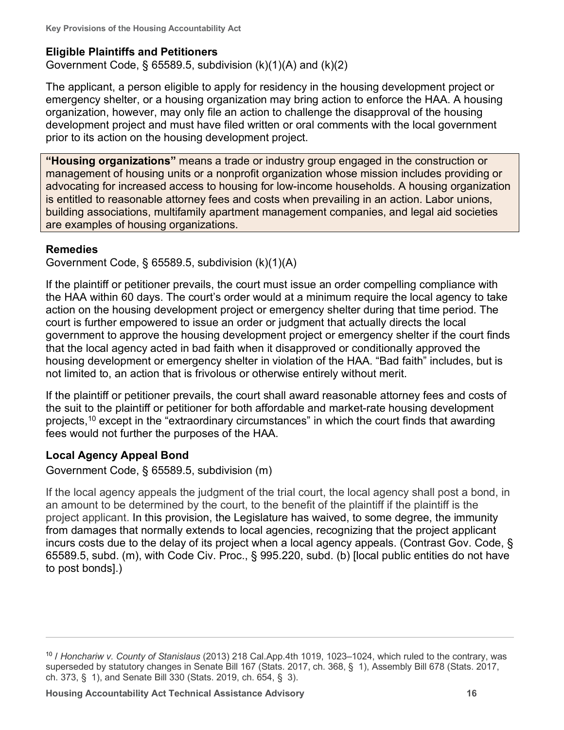#### **Eligible Plaintiffs and Petitioners**

Government Code,  $\S$  65589.5, subdivision  $(k)(1)(A)$  and  $(k)(2)$ 

The applicant, a person eligible to apply for residency in the housing development project or emergency shelter, or a housing organization may bring action to enforce the HAA. A housing organization, however, may only file an action to challenge the disapproval of the housing development project and must have filed written or oral comments with the local government prior to its action on the housing development project.

<span id="page-19-0"></span>**"Housing organizations"** means a trade or industry group engaged in the construction or management of housing units or a nonprofit organization whose mission includes providing or advocating for increased access to housing for low-income households. A housing organization is entitled to reasonable attorney fees and costs when prevailing in an action. Labor unions, building associations, multifamily apartment management companies, and legal aid societies are examples of housing organizations.

### <span id="page-19-1"></span>**Remedies**

Government Code, § 65589.5, subdivision (k)(1)(A)

If the plaintiff or petitioner prevails, the court must issue an order compelling compliance with the HAA within 60 days. The court's order would at a minimum require the local agency to take action on the housing development project or emergency shelter during that time period. The court is further empowered to issue an order or judgment that actually directs the local government to approve the housing development project or emergency shelter if the court finds that the local agency acted in bad faith when it disapproved or conditionally approved the housing development or emergency shelter in violation of the HAA. "Bad faith" includes, but is not limited to, an action that is frivolous or otherwise entirely without merit.

If the plaintiff or petitioner prevails, the court shall award reasonable attorney fees and costs of the suit to the plaintiff or petitioner for both affordable and market-rate housing development projects,<sup>[10](#page-19-3)</sup> except in the "extraordinary circumstances" in which the court finds that awarding fees would not further the purposes of the HAA.

# <span id="page-19-2"></span>**Local Agency Appeal Bond**

Government Code, § 65589.5, subdivision (m)

If the local agency appeals the judgment of the trial court, the local agency shall post a bond, in an amount to be determined by the court, to the benefit of the plaintiff if the plaintiff is the project applicant. In this provision, the Legislature has waived, to some degree, the immunity from damages that normally extends to local agencies, recognizing that the project applicant incurs costs due to the delay of its project when a local agency appeals. (Contrast Gov. Code, § 65589.5, subd. (m), with Code Civ. Proc., § 995.220, subd. (b) [local public entities do not have to post bonds].)

<span id="page-19-3"></span><sup>10</sup> / *Honchariw v. County of Stanislaus* (2013) 218 Cal.App.4th 1019, 1023–1024, which ruled to the contrary, was superseded by statutory changes in Senate Bill 167 (Stats. 2017, ch. 368, § 1), Assembly Bill 678 (Stats. 2017, ch. 373, § 1), and Senate Bill 330 (Stats. 2019, ch. 654, § 3).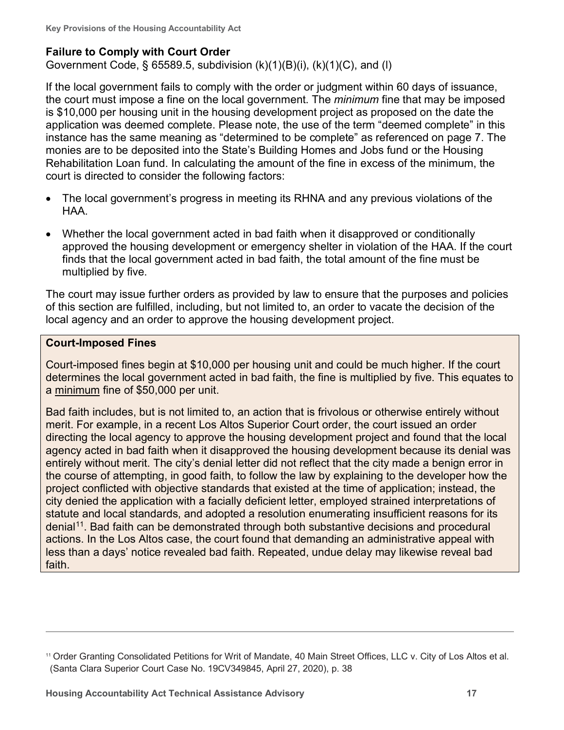# <span id="page-20-0"></span>**Failure to Comply with Court Order**

Government Code, § 65589.5, subdivision (k)(1)(B)(i), (k)(1)(C), and (l)

If the local government fails to comply with the order or judgment within 60 days of issuance, the court must impose a fine on the local government. The *minimum* fine that may be imposed is \$10,000 per housing unit in the housing development project as proposed on the date the application was deemed complete. Please note, the use of the term "deemed complete" in this instance has the same meaning as "determined to be complete" as referenced on page 7. The monies are to be deposited into the State's Building Homes and Jobs fund or the Housing Rehabilitation Loan fund. In calculating the amount of the fine in excess of the minimum, the court is directed to consider the following factors:

- The local government's progress in meeting its RHNA and any previous violations of the HAA.
- Whether the local government acted in bad faith when it disapproved or conditionally approved the housing development or emergency shelter in violation of the HAA. If the court finds that the local government acted in bad faith, the total amount of the fine must be multiplied by five.

The court may issue further orders as provided by law to ensure that the purposes and policies of this section are fulfilled, including, but not limited to, an order to vacate the decision of the local agency and an order to approve the housing development project.

#### **Court-Imposed Fines**

Court-imposed fines begin at \$10,000 per housing unit and could be much higher. If the court determines the local government acted in bad faith, the fine is multiplied by five. This equates to a minimum fine of \$50,000 per unit.

Bad faith includes, but is not limited to, an action that is frivolous or otherwise entirely without merit. For example, in a recent Los Altos Superior Court order, the court issued an order directing the local agency to approve the housing development project and found that the local agency acted in bad faith when it disapproved the housing development because its denial was entirely without merit. The city's denial letter did not reflect that the city made a benign error in the course of attempting, in good faith, to follow the law by explaining to the developer how the project conflicted with objective standards that existed at the time of application; instead, the city denied the application with a facially deficient letter, employed strained interpretations of statute and local standards, and adopted a resolution enumerating insufficient reasons for its denial<sup>11</sup>. Bad faith can be demonstrated through both substantive decisions and procedural actions. In the Los Altos case, the court found that demanding an administrative appeal with less than a days' notice revealed bad faith. Repeated, undue delay may likewise reveal bad faith.

<span id="page-20-1"></span><sup>11</sup> Order Granting Consolidated Petitions for Writ of Mandate, 40 Main Street Offices, LLC v. City of Los Altos et al. (Santa Clara Superior Court Case No. 19CV349845, April 27, 2020), p. 38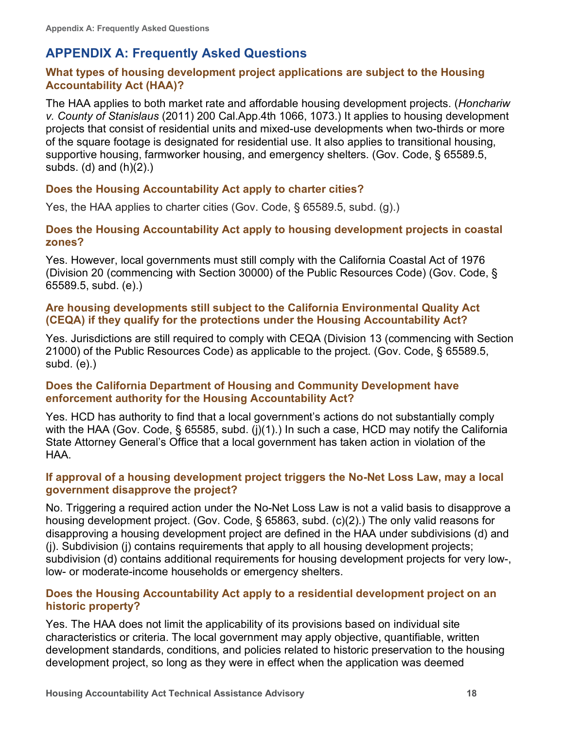# <span id="page-21-0"></span>**APPENDIX A: Frequently Asked Questions**

# <span id="page-21-1"></span>**What types of housing development project applications are subject to the Housing Accountability Act (HAA)?**

The HAA applies to both market rate and affordable housing development projects. (*Honchariw v. County of Stanislaus* (2011) 200 Cal.App.4th 1066, 1073.) It applies to housing development projects that consist of residential units and mixed-use developments when two-thirds or more of the square footage is designated for residential use. It also applies to transitional housing, supportive housing, farmworker housing, and emergency shelters. (Gov. Code, § 65589.5, subds. (d) and  $(h)(2)$ .)

### <span id="page-21-2"></span>**Does the Housing Accountability Act apply to charter cities?**

Yes, the HAA applies to charter cities (Gov. Code, § 65589.5, subd. (g).)

#### <span id="page-21-3"></span>**Does the Housing Accountability Act apply to housing development projects in coastal zones?**

Yes. However, local governments must still comply with the California Coastal Act of 1976 (Division 20 (commencing with Section 30000) of the Public Resources Code) (Gov. Code, § 65589.5, subd. (e).)

#### <span id="page-21-4"></span>**Are housing developments still subject to the California Environmental Quality Act (CEQA) if they qualify for the protections under the Housing Accountability Act?**

Yes. Jurisdictions are still required to comply with CEQA (Division 13 (commencing with Section 21000) of the Public Resources Code) as applicable to the project. (Gov. Code, § 65589.5, subd. (e).)

#### <span id="page-21-5"></span>**Does the California Department of Housing and Community Development have enforcement authority for the Housing Accountability Act?**

Yes. HCD has authority to find that a local government's actions do not substantially comply with the HAA (Gov. Code, § 65585, subd. (j)(1).) In such a case, HCD may notify the California State Attorney General's Office that a local government has taken action in violation of the HAA.

### <span id="page-21-6"></span>**If approval of a housing development project triggers the No-Net Loss Law, may a local government disapprove the project?**

No. Triggering a required action under the No-Net Loss Law is not a valid basis to disapprove a housing development project. (Gov. Code, § 65863, subd. (c)(2).) The only valid reasons for disapproving a housing development project are defined in the HAA under subdivisions (d) and (j). Subdivision (j) contains requirements that apply to all housing development projects; subdivision (d) contains additional requirements for housing development projects for very low-, low- or moderate-income households or emergency shelters.

#### <span id="page-21-7"></span>**Does the Housing Accountability Act apply to a residential development project on an historic property?**

Yes. The HAA does not limit the applicability of its provisions based on individual site characteristics or criteria. The local government may apply objective, quantifiable, written development standards, conditions, and policies related to historic preservation to the housing development project, so long as they were in effect when the application was deemed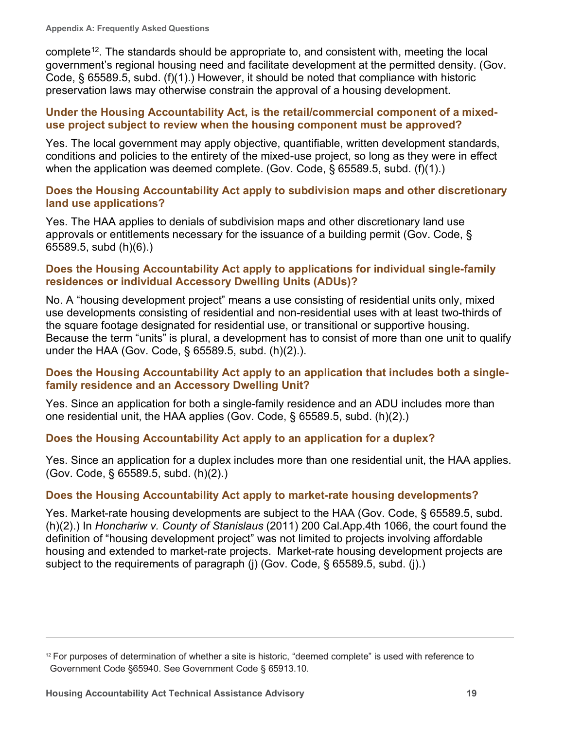complete<sup>12</sup>. The standards should be appropriate to, and consistent with, meeting the local government's regional housing need and facilitate development at the permitted density. (Gov. Code, § 65589.5, subd. (f)(1).) However, it should be noted that compliance with historic preservation laws may otherwise constrain the approval of a housing development.

#### <span id="page-22-0"></span>**Under the Housing Accountability Act, is the retail/commercial component of a mixeduse project subject to review when the housing component must be approved?**

Yes. The local government may apply objective, quantifiable, written development standards, conditions and policies to the entirety of the mixed-use project, so long as they were in effect when the application was deemed complete. (Gov. Code, § 65589.5, subd. (f)(1).)

### <span id="page-22-1"></span>**Does the Housing Accountability Act apply to subdivision maps and other discretionary land use applications?**

Yes. The HAA applies to denials of subdivision maps and other discretionary land use approvals or entitlements necessary for the issuance of a building permit (Gov. Code, § 65589.5, subd (h)(6).)

#### <span id="page-22-2"></span>**Does the Housing Accountability Act apply to applications for individual single-family residences or individual Accessory Dwelling Units (ADUs)?**

No. A "housing development project" means a use consisting of residential units only, mixed use developments consisting of residential and non-residential uses with at least two-thirds of the square footage designated for residential use, or transitional or supportive housing. Because the term "units" is plural, a development has to consist of more than one unit to qualify under the HAA (Gov. Code, § 65589.5, subd. (h)(2).).

### <span id="page-22-3"></span>**Does the Housing Accountability Act apply to an application that includes both a singlefamily residence and an Accessory Dwelling Unit?**

Yes. Since an application for both a single-family residence and an ADU includes more than one residential unit, the HAA applies (Gov. Code, § 65589.5, subd. (h)(2).)

# <span id="page-22-4"></span>**Does the Housing Accountability Act apply to an application for a duplex?**

Yes. Since an application for a duplex includes more than one residential unit, the HAA applies. (Gov. Code, § 65589.5, subd. (h)(2).)

# <span id="page-22-5"></span>**Does the Housing Accountability Act apply to market-rate housing developments?**

Yes. Market-rate housing developments are subject to the HAA (Gov. Code, § 65589.5, subd. (h)(2).) In *Honchariw v. County of Stanislaus* (2011) 200 Cal.App.4th 1066, the court found the definition of "housing development project" was not limited to projects involving affordable housing and extended to market-rate projects. Market-rate housing development projects are subject to the requirements of paragraph (j) (Gov. Code, § 65589.5, subd. (j).)

<span id="page-22-6"></span><sup>12</sup> For purposes of determination of whether a site is historic, "deemed complete" is used with reference to Government Code §65940. See Government Code § 65913.10.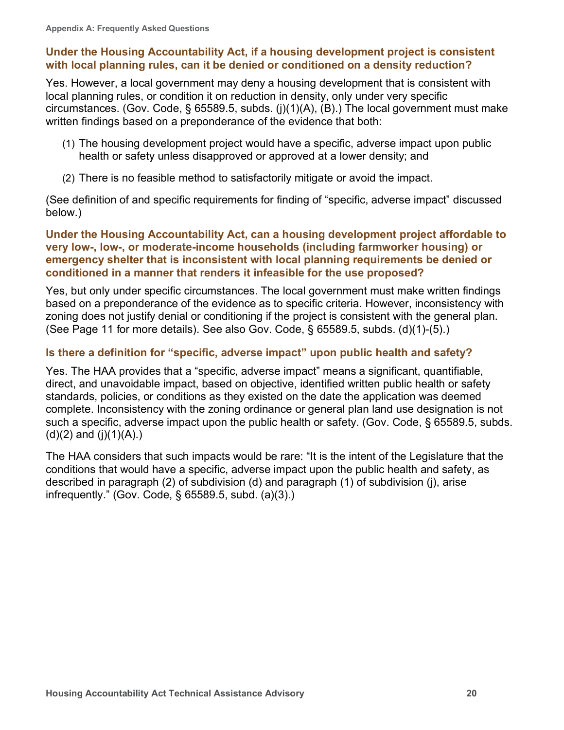#### <span id="page-23-0"></span>**Under the Housing Accountability Act, if a housing development project is consistent with local planning rules, can it be denied or conditioned on a density reduction?**

Yes. However, a local government may deny a housing development that is consistent with local planning rules, or condition it on reduction in density, only under very specific circumstances. (Gov. Code, § 65589.5, subds. (j)(1)(A), (B).) The local government must make written findings based on a preponderance of the evidence that both:

- (1) The housing development project would have a specific, adverse impact upon public health or safety unless disapproved or approved at a lower density; and
- (2) There is no feasible method to satisfactorily mitigate or avoid the impact.

(See definition of and specific requirements for finding of "specific, adverse impact" discussed below.)

#### <span id="page-23-1"></span>**Under the Housing Accountability Act, can a housing development project affordable to very low-, low-, or moderate-income households (including farmworker housing) or emergency shelter that is inconsistent with local planning requirements be denied or conditioned in a manner that renders it infeasible for the use proposed?**

Yes, but only under specific circumstances. The local government must make written findings based on a preponderance of the evidence as to specific criteria. However, inconsistency with zoning does not justify denial or conditioning if the project is consistent with the general plan. (See Page 11 for more details). See also Gov. Code, § 65589.5, subds. (d)(1)-(5).)

### <span id="page-23-2"></span>**Is there a definition for "specific, adverse impact" upon public health and safety?**

Yes. The HAA provides that a "specific, adverse impact" means a significant, quantifiable, direct, and unavoidable impact, based on objective, identified written public health or safety standards, policies, or conditions as they existed on the date the application was deemed complete. Inconsistency with the zoning ordinance or general plan land use designation is not such a specific, adverse impact upon the public health or safety. (Gov. Code, § 65589.5, subds.  $(d)(2)$  and  $(j)(1)(A)$ .

The HAA considers that such impacts would be rare: "It is the intent of the Legislature that the conditions that would have a specific, adverse impact upon the public health and safety, as described in paragraph (2) of subdivision (d) and paragraph (1) of subdivision (j), arise infrequently." (Gov. Code, § 65589.5, subd. (a)(3).)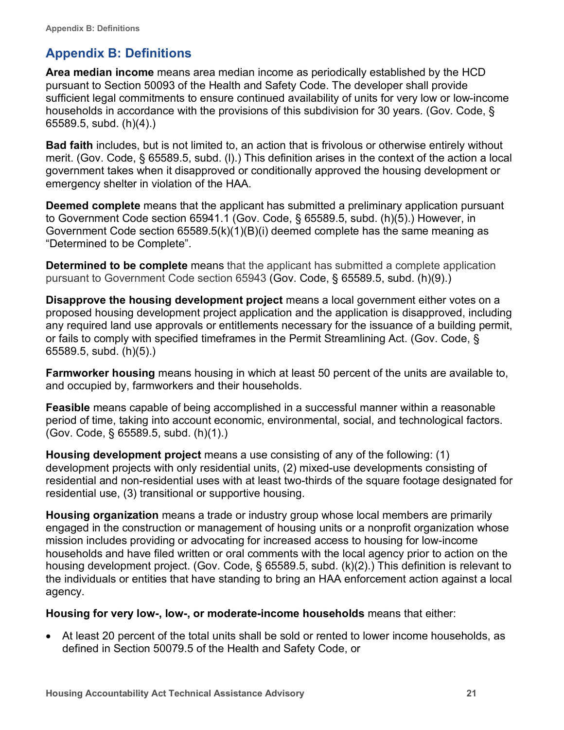# <span id="page-24-0"></span>**Appendix B: Definitions**

**Area median income** means area median income as periodically established by the HCD pursuant to Section 50093 of the Health and Safety Code. The developer shall provide sufficient legal commitments to ensure continued availability of units for very low or low-income households in accordance with the provisions of this subdivision for 30 years. (Gov. Code, § 65589.5, subd. (h)(4).)

**Bad faith** includes, but is not limited to, an action that is frivolous or otherwise entirely without merit. (Gov. Code, § 65589.5, subd. (l).) This definition arises in the context of the action a local government takes when it disapproved or conditionally approved the housing development or emergency shelter in violation of the HAA.

**Deemed complete** means that the applicant has submitted a preliminary application pursuant to Government Code section 65941.1 (Gov. Code, § 65589.5, subd. (h)(5).) However, in Government Code section 65589.5(k)(1)(B)(i) deemed complete has the same meaning as "Determined to be Complete".

**Determined to be complete** means that the applicant has submitted a complete application pursuant to Government Code section 65943 (Gov. Code, § 65589.5, subd. (h)(9).)

**Disapprove the housing development project** means a local government either votes on a proposed housing development project application and the application is disapproved, including any required land use approvals or entitlements necessary for the issuance of a building permit, or fails to comply with specified timeframes in the Permit Streamlining Act. (Gov. Code, § 65589.5, subd. (h)(5).)

**Farmworker housing** means housing in which at least 50 percent of the units are available to, and occupied by, farmworkers and their households.

**Feasible** means capable of being accomplished in a successful manner within a reasonable period of time, taking into account economic, environmental, social, and technological factors. (Gov. Code, § 65589.5, subd. (h)(1).)

**Housing development project** means a use consisting of any of the following: (1) development projects with only residential units, (2) mixed-use developments consisting of residential and non-residential uses with at least two-thirds of the square footage designated for residential use, (3) transitional or supportive housing.

**Housing organization** means a trade or industry group whose local members are primarily engaged in the construction or management of housing units or a nonprofit organization whose mission includes providing or advocating for increased access to housing for low-income households and have filed written or oral comments with the local agency prior to action on the housing development project. (Gov. Code, § 65589.5, subd. (k)(2).) This definition is relevant to the individuals or entities that have standing to bring an HAA enforcement action against a local agency.

#### **Housing for very low-, low-, or moderate-income households** means that either:

• At least 20 percent of the total units shall be sold or rented to lower income households, as defined in Section 50079.5 of the Health and Safety Code, or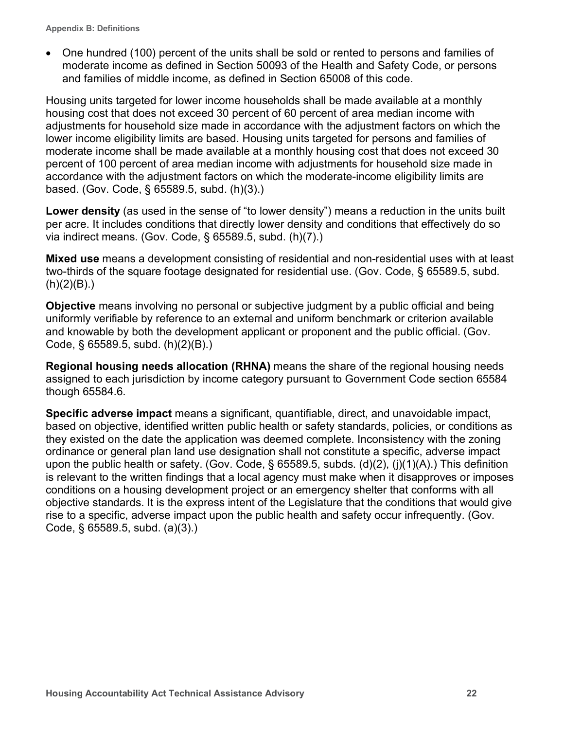• One hundred (100) percent of the units shall be sold or rented to persons and families of moderate income as defined in Section 50093 of the Health and Safety Code, or persons and families of middle income, as defined in Section 65008 of this code.

Housing units targeted for lower income households shall be made available at a monthly housing cost that does not exceed 30 percent of 60 percent of area median income with adjustments for household size made in accordance with the adjustment factors on which the lower income eligibility limits are based. Housing units targeted for persons and families of moderate income shall be made available at a monthly housing cost that does not exceed 30 percent of 100 percent of area median income with adjustments for household size made in accordance with the adjustment factors on which the moderate-income eligibility limits are based. (Gov. Code, § 65589.5, subd. (h)(3).)

**Lower density** (as used in the sense of "to lower density") means a reduction in the units built per acre. It includes conditions that directly lower density and conditions that effectively do so via indirect means. (Gov. Code, § 65589.5, subd. (h)(7).)

**Mixed use** means a development consisting of residential and non-residential uses with at least two-thirds of the square footage designated for residential use. (Gov. Code, § 65589.5, subd.  $(h)(2)(B)$ .)

**Objective** means involving no personal or subjective judgment by a public official and being uniformly verifiable by reference to an external and uniform benchmark or criterion available and knowable by both the development applicant or proponent and the public official. (Gov. Code, § 65589.5, subd. (h)(2)(B).)

**Regional housing needs allocation (RHNA)** means the share of the regional housing needs assigned to each jurisdiction by income category pursuant to Government Code section 65584 though 65584.6.

**Specific adverse impact** means a significant, quantifiable, direct, and unavoidable impact, based on objective, identified written public health or safety standards, policies, or conditions as they existed on the date the application was deemed complete. Inconsistency with the zoning ordinance or general plan land use designation shall not constitute a specific, adverse impact upon the public health or safety. (Gov. Code, § 65589.5, subds. (d)(2), (j)(1)(A).) This definition is relevant to the written findings that a local agency must make when it disapproves or imposes conditions on a housing development project or an emergency shelter that conforms with all objective standards. It is the express intent of the Legislature that the conditions that would give rise to a specific, adverse impact upon the public health and safety occur infrequently. (Gov. Code, § 65589.5, subd. (a)(3).)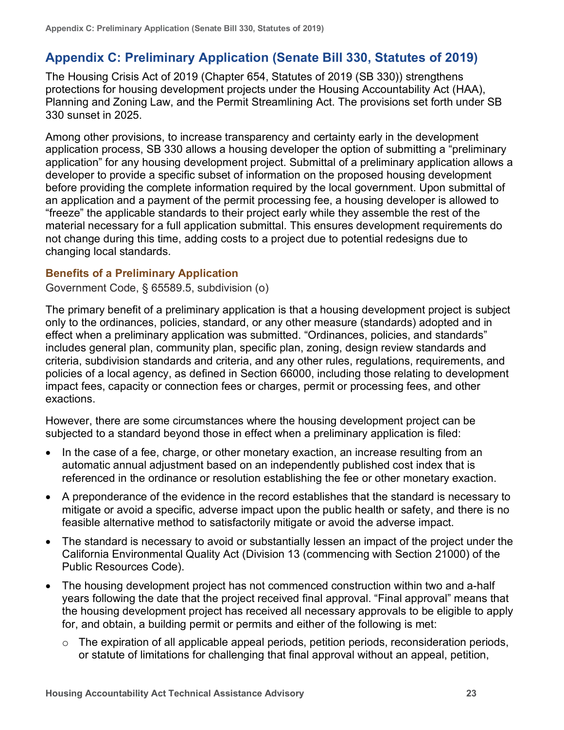# <span id="page-26-0"></span>**Appendix C: Preliminary Application (Senate Bill 330, Statutes of 2019)**

The Housing Crisis Act of 2019 (Chapter 654, Statutes of 2019 (SB 330)) strengthens protections for housing development projects under the Housing Accountability Act (HAA), Planning and Zoning Law, and the Permit Streamlining Act. The provisions set forth under SB 330 sunset in 2025.

Among other provisions, to increase transparency and certainty early in the development application process, SB 330 allows a housing developer the option of submitting a "preliminary application" for any housing development project. Submittal of a preliminary application allows a developer to provide a specific subset of information on the proposed housing development before providing the complete information required by the local government. Upon submittal of an application and a payment of the permit processing fee, a housing developer is allowed to "freeze" the applicable standards to their project early while they assemble the rest of the material necessary for a full application submittal. This ensures development requirements do not change during this time, adding costs to a project due to potential redesigns due to changing local standards.

### <span id="page-26-1"></span>**Benefits of a Preliminary Application**

Government Code, § 65589.5, subdivision (o)

The primary benefit of a preliminary application is that a housing development project is subject only to the ordinances, policies, standard, or any other measure (standards) adopted and in effect when a preliminary application was submitted. "Ordinances, policies, and standards" includes general plan, community plan, specific plan, zoning, design review standards and criteria, subdivision standards and criteria, and any other rules, regulations, requirements, and policies of a local agency, as defined in Section 66000, including those relating to development impact fees, capacity or connection fees or charges, permit or processing fees, and other exactions.

However, there are some circumstances where the housing development project can be subjected to a standard beyond those in effect when a preliminary application is filed:

- In the case of a fee, charge, or other monetary exaction, an increase resulting from an automatic annual adjustment based on an independently published cost index that is referenced in the ordinance or resolution establishing the fee or other monetary exaction.
- A preponderance of the evidence in the record establishes that the standard is necessary to mitigate or avoid a specific, adverse impact upon the public health or safety, and there is no feasible alternative method to satisfactorily mitigate or avoid the adverse impact.
- The standard is necessary to avoid or substantially lessen an impact of the project under the California Environmental Quality Act (Division 13 (commencing with Section 21000) of the Public Resources Code).
- The housing development project has not commenced construction within two and a-half years following the date that the project received final approval. "Final approval" means that the housing development project has received all necessary approvals to be eligible to apply for, and obtain, a building permit or permits and either of the following is met:
	- $\circ$  The expiration of all applicable appeal periods, petition periods, reconsideration periods, or statute of limitations for challenging that final approval without an appeal, petition,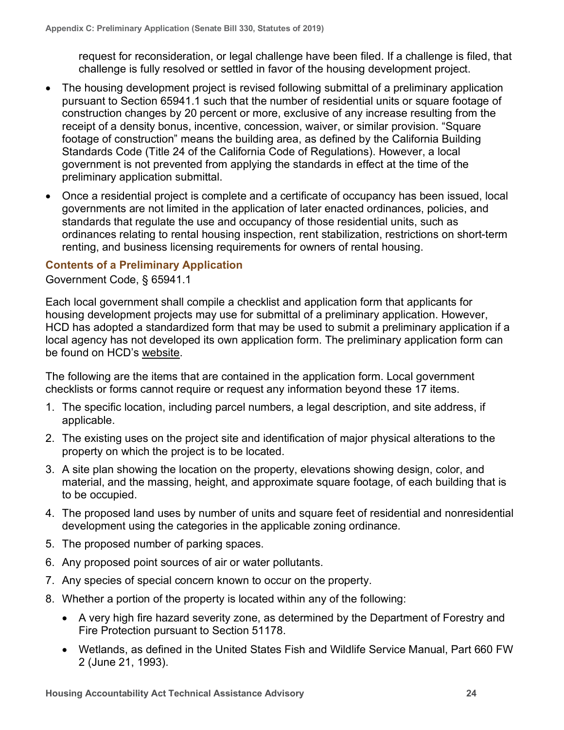request for reconsideration, or legal challenge have been filed. If a challenge is filed, that challenge is fully resolved or settled in favor of the housing development project.

- The housing development project is revised following submittal of a preliminary application pursuant to Section 65941.1 such that the number of residential units or square footage of construction changes by 20 percent or more, exclusive of any increase resulting from the receipt of a density bonus, incentive, concession, waiver, or similar provision. "Square footage of construction" means the building area, as defined by the California Building Standards Code (Title 24 of the California Code of Regulations). However, a local government is not prevented from applying the standards in effect at the time of the preliminary application submittal.
- Once a residential project is complete and a certificate of occupancy has been issued, local governments are not limited in the application of later enacted ordinances, policies, and standards that regulate the use and occupancy of those residential units, such as ordinances relating to rental housing inspection, rent stabilization, restrictions on short-term renting, and business licensing requirements for owners of rental housing.

### <span id="page-27-0"></span>**Contents of a Preliminary Application**

Government Code, § 65941.1

Each local government shall compile a checklist and application form that applicants for housing development projects may use for submittal of a preliminary application. However, HCD has adopted a standardized form that may be used to submit a preliminary application if a local agency has not developed its own application form. The preliminary application form can be found on HCD's [website.](https://www.hcd.ca.gov/community-development/accountability-enforcement/statutory-determinations.shtml)

The following are the items that are contained in the application form. Local government checklists or forms cannot require or request any information beyond these 17 items.

- 1. The specific location, including parcel numbers, a legal description, and site address, if applicable.
- 2. The existing uses on the project site and identification of major physical alterations to the property on which the project is to be located.
- 3. A site plan showing the location on the property, elevations showing design, color, and material, and the massing, height, and approximate square footage, of each building that is to be occupied.
- 4. The proposed land uses by number of units and square feet of residential and nonresidential development using the categories in the applicable zoning ordinance.
- 5. The proposed number of parking spaces.
- 6. Any proposed point sources of air or water pollutants.
- 7. Any species of special concern known to occur on the property.
- 8. Whether a portion of the property is located within any of the following:
	- A very high fire hazard severity zone, as determined by the Department of Forestry and Fire Protection pursuant to Section 51178.
	- Wetlands, as defined in the United States Fish and Wildlife Service Manual, Part 660 FW 2 (June 21, 1993).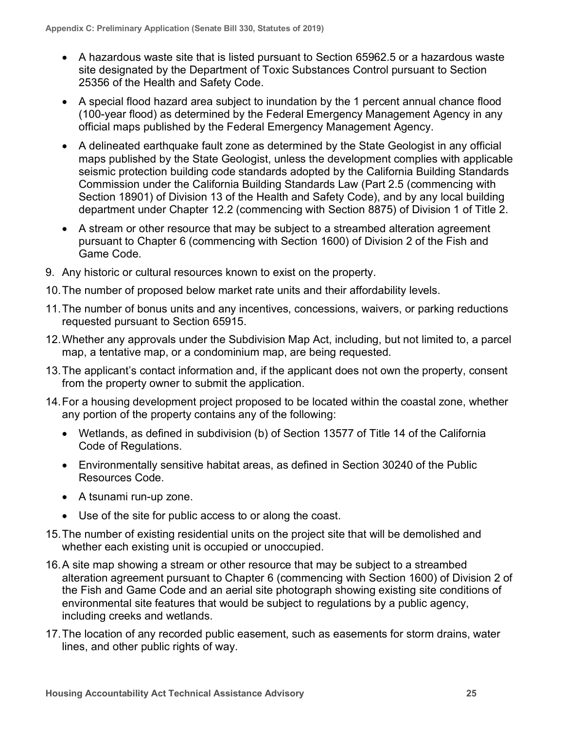- A hazardous waste site that is listed pursuant to Section 65962.5 or a hazardous waste site designated by the Department of Toxic Substances Control pursuant to Section 25356 of the Health and Safety Code.
- A special flood hazard area subject to inundation by the 1 percent annual chance flood (100-year flood) as determined by the Federal Emergency Management Agency in any official maps published by the Federal Emergency Management Agency.
- A delineated earthquake fault zone as determined by the State Geologist in any official maps published by the State Geologist, unless the development complies with applicable seismic protection building code standards adopted by the California Building Standards Commission under the California Building Standards Law (Part 2.5 (commencing with Section 18901) of Division 13 of the Health and Safety Code), and by any local building department under Chapter 12.2 (commencing with Section 8875) of Division 1 of Title 2.
- A stream or other resource that may be subject to a streambed alteration agreement pursuant to Chapter 6 (commencing with Section 1600) of Division 2 of the Fish and Game Code.
- 9. Any historic or cultural resources known to exist on the property.
- 10.The number of proposed below market rate units and their affordability levels.
- 11.The number of bonus units and any incentives, concessions, waivers, or parking reductions requested pursuant to Section 65915.
- 12.Whether any approvals under the Subdivision Map Act, including, but not limited to, a parcel map, a tentative map, or a condominium map, are being requested.
- 13.The applicant's contact information and, if the applicant does not own the property, consent from the property owner to submit the application.
- 14.For a housing development project proposed to be located within the coastal zone, whether any portion of the property contains any of the following:
	- Wetlands, as defined in subdivision (b) of Section 13577 of Title 14 of the California Code of Regulations.
	- Environmentally sensitive habitat areas, as defined in Section 30240 of the Public Resources Code.
	- A tsunami run-up zone.
	- Use of the site for public access to or along the coast.
- 15.The number of existing residential units on the project site that will be demolished and whether each existing unit is occupied or unoccupied.
- 16.A site map showing a stream or other resource that may be subject to a streambed alteration agreement pursuant to Chapter 6 (commencing with Section 1600) of Division 2 of the Fish and Game Code and an aerial site photograph showing existing site conditions of environmental site features that would be subject to regulations by a public agency, including creeks and wetlands.
- 17.The location of any recorded public easement, such as easements for storm drains, water lines, and other public rights of way.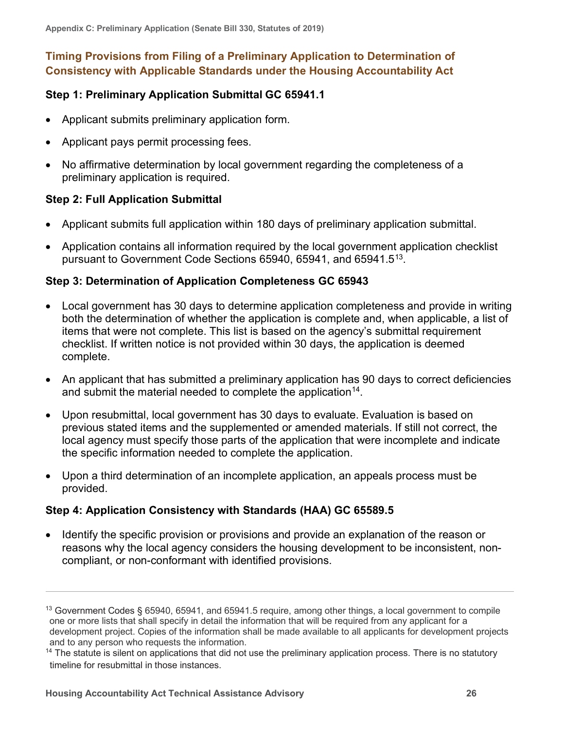# <span id="page-29-0"></span>**Timing Provisions from Filing of a Preliminary Application to Determination of Consistency with Applicable Standards under the Housing Accountability Act**

# <span id="page-29-1"></span>**Step 1: Preliminary Application Submittal GC 65941.1**

- Applicant submits preliminary application form.
- Applicant pays permit processing fees.
- No affirmative determination by local government regarding the completeness of a preliminary application is required.

# <span id="page-29-2"></span>**Step 2: Full Application Submittal**

- Applicant submits full application within 180 days of preliminary application submittal.
- Application contains all information required by the local government application checklist pursuant to Government Code Sections 65940, 65941, and 65941.5[13.](#page-29-5)

# <span id="page-29-3"></span>**Step 3: Determination of Application Completeness GC 65943**

- Local government has 30 days to determine application completeness and provide in writing both the determination of whether the application is complete and, when applicable, a list of items that were not complete. This list is based on the agency's submittal requirement checklist. If written notice is not provided within 30 days, the application is deemed complete.
- An applicant that has submitted a preliminary application has 90 days to correct deficiencies and submit the material needed to complete the application<sup>14</sup>.
- Upon resubmittal, local government has 30 days to evaluate. Evaluation is based on previous stated items and the supplemented or amended materials. If still not correct, the local agency must specify those parts of the application that were incomplete and indicate the specific information needed to complete the application.
- Upon a third determination of an incomplete application, an appeals process must be provided.

# <span id="page-29-4"></span>**Step 4: Application Consistency with Standards (HAA) GC 65589.5**

• Identify the specific provision or provisions and provide an explanation of the reason or reasons why the local agency considers the housing development to be inconsistent, noncompliant, or non-conformant with identified provisions.

<span id="page-29-5"></span><sup>13</sup> Government Codes § 65940, 65941, and 65941.5 require, among other things, a local government to compile one or more lists that shall specify in detail the information that will be required from any applicant for a development project. Copies of the information shall be made available to all applicants for development projects and to any person who requests the information.

<span id="page-29-6"></span> $14$  The statute is silent on applications that did not use the preliminary application process. There is no statutory timeline for resubmittal in those instances.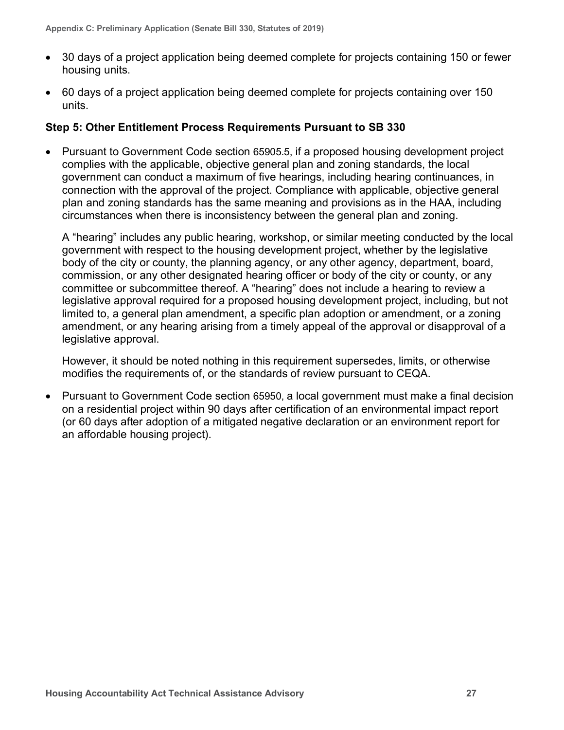- 30 days of a project application being deemed complete for projects containing 150 or fewer housing units.
- 60 days of a project application being deemed complete for projects containing over 150 units.

### <span id="page-30-0"></span>**Step 5: Other Entitlement Process Requirements Pursuant to SB 330**

• Pursuant to Government Code section 65905.5, if a proposed housing development project complies with the applicable, objective general plan and zoning standards, the local government can conduct a maximum of five hearings, including hearing continuances, in connection with the approval of the project. Compliance with applicable, objective general plan and zoning standards has the same meaning and provisions as in the HAA, including circumstances when there is inconsistency between the general plan and zoning.

A "hearing" includes any public hearing, workshop, or similar meeting conducted by the local government with respect to the housing development project, whether by the legislative body of the city or county, the planning agency, or any other agency, department, board, commission, or any other designated hearing officer or body of the city or county, or any committee or subcommittee thereof. A "hearing" does not include a hearing to review a legislative approval required for a proposed housing development project, including, but not limited to, a general plan amendment, a specific plan adoption or amendment, or a zoning amendment, or any hearing arising from a timely appeal of the approval or disapproval of a legislative approval.

However, it should be noted nothing in this requirement supersedes, limits, or otherwise modifies the requirements of, or the standards of review pursuant to CEQA.

• Pursuant to Government Code section 65950, a local government must make a final decision on a residential project within 90 days after certification of an environmental impact report (or 60 days after adoption of a mitigated negative declaration or an environment report for an affordable housing project).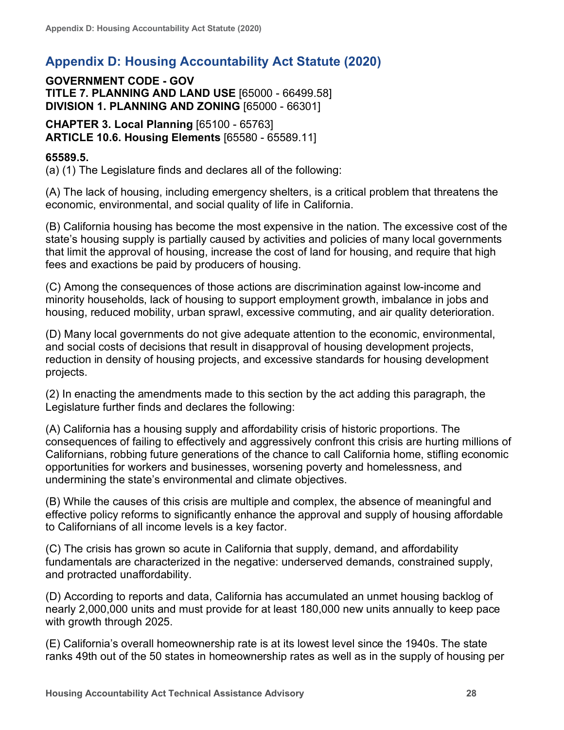# <span id="page-31-0"></span>**Appendix D: Housing Accountability Act Statute (2020)**

**GOVERNMENT CODE - GOV TITLE 7. PLANNING AND LAND USE** [65000 - 66499.58] **DIVISION 1. PLANNING AND ZONING** [65000 - 66301]

**CHAPTER 3. Local Planning** [65100 - 65763] **ARTICLE 10.6. Housing Elements** [65580 - 65589.11]

# **65589.5.**

(a) (1) The Legislature finds and declares all of the following:

(A) The lack of housing, including emergency shelters, is a critical problem that threatens the economic, environmental, and social quality of life in California.

(B) California housing has become the most expensive in the nation. The excessive cost of the state's housing supply is partially caused by activities and policies of many local governments that limit the approval of housing, increase the cost of land for housing, and require that high fees and exactions be paid by producers of housing.

(C) Among the consequences of those actions are discrimination against low-income and minority households, lack of housing to support employment growth, imbalance in jobs and housing, reduced mobility, urban sprawl, excessive commuting, and air quality deterioration.

(D) Many local governments do not give adequate attention to the economic, environmental, and social costs of decisions that result in disapproval of housing development projects, reduction in density of housing projects, and excessive standards for housing development projects.

(2) In enacting the amendments made to this section by the act adding this paragraph, the Legislature further finds and declares the following:

(A) California has a housing supply and affordability crisis of historic proportions. The consequences of failing to effectively and aggressively confront this crisis are hurting millions of Californians, robbing future generations of the chance to call California home, stifling economic opportunities for workers and businesses, worsening poverty and homelessness, and undermining the state's environmental and climate objectives.

(B) While the causes of this crisis are multiple and complex, the absence of meaningful and effective policy reforms to significantly enhance the approval and supply of housing affordable to Californians of all income levels is a key factor.

(C) The crisis has grown so acute in California that supply, demand, and affordability fundamentals are characterized in the negative: underserved demands, constrained supply, and protracted unaffordability.

(D) According to reports and data, California has accumulated an unmet housing backlog of nearly 2,000,000 units and must provide for at least 180,000 new units annually to keep pace with growth through 2025.

(E) California's overall homeownership rate is at its lowest level since the 1940s. The state ranks 49th out of the 50 states in homeownership rates as well as in the supply of housing per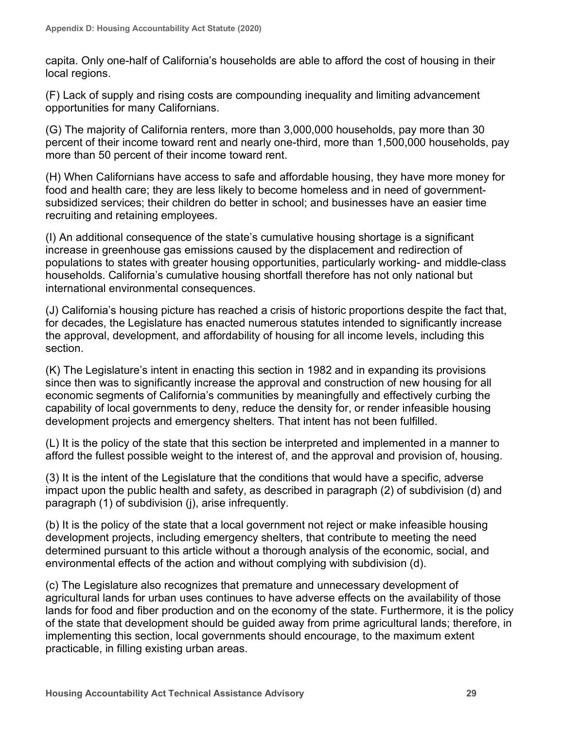capita. Only one-half of California's households are able to afford the cost of housing in their local regions.

(F) Lack of supply and rising costs are compounding inequality and limiting advancement opportunities for many Californians.

(G) The majority of California renters, more than 3,000,000 households, pay more than 30 percent of their income toward rent and nearly one-third, more than 1,500,000 households, pay more than 50 percent of their income toward rent.

(H) When Californians have access to safe and affordable housing, they have more money for food and health care; they are less likely to become homeless and in need of governmentsubsidized services; their children do better in school; and businesses have an easier time recruiting and retaining employees.

(I) An additional consequence of the state's cumulative housing shortage is a significant increase in greenhouse gas emissions caused by the displacement and redirection of populations to states with greater housing opportunities, particularly working- and middle-class households. California's cumulative housing shortfall therefore has not only national but international environmental consequences.

(J) California's housing picture has reached a crisis of historic proportions despite the fact that, for decades, the Legislature has enacted numerous statutes intended to significantly increase the approval, development, and affordability of housing for all income levels, including this section.

(K) The Legislature's intent in enacting this section in 1982 and in expanding its provisions since then was to significantly increase the approval and construction of new housing for all economic segments of California's communities by meaningfully and effectively curbing the capability of local governments to deny, reduce the density for, or render infeasible housing development projects and emergency shelters. That intent has not been fulfilled.

(L) It is the policy of the state that this section be interpreted and implemented in a manner to afford the fullest possible weight to the interest of, and the approval and provision of, housing.

(3) It is the intent of the Legislature that the conditions that would have a specific, adverse impact upon the public health and safety, as described in paragraph (2) of subdivision (d) and paragraph (1) of subdivision (j), arise infrequently.

(b) It is the policy of the state that a local government not reject or make infeasible housing development projects, including emergency shelters, that contribute to meeting the need determined pursuant to this article without a thorough analysis of the economic, social, and environmental effects of the action and without complying with subdivision (d).

(c) The Legislature also recognizes that premature and unnecessary development of agricultural lands for urban uses continues to have adverse effects on the availability of those lands for food and fiber production and on the economy of the state. Furthermore, it is the policy of the state that development should be guided away from prime agricultural lands; therefore, in implementing this section, local governments should encourage, to the maximum extent practicable, in filling existing urban areas.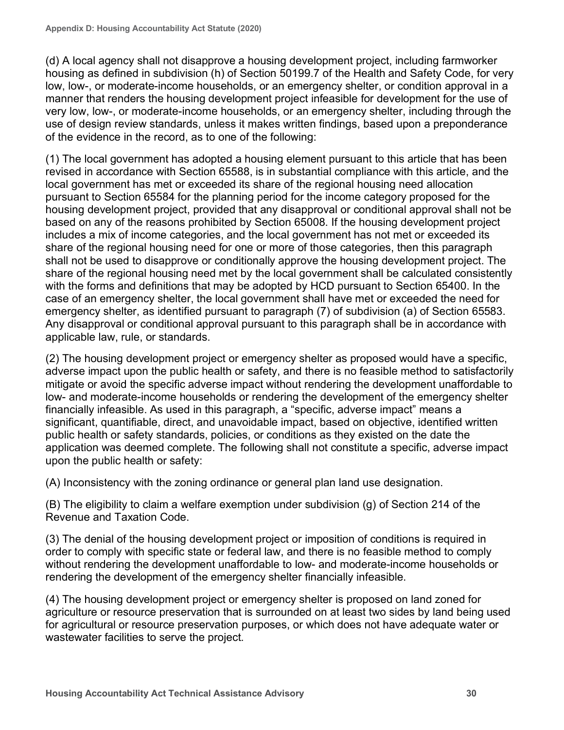(d) A local agency shall not disapprove a housing development project, including farmworker housing as defined in subdivision (h) of Section 50199.7 of the Health and Safety Code, for very low, low-, or moderate-income households, or an emergency shelter, or condition approval in a manner that renders the housing development project infeasible for development for the use of very low, low-, or moderate-income households, or an emergency shelter, including through the use of design review standards, unless it makes written findings, based upon a preponderance of the evidence in the record, as to one of the following:

(1) The local government has adopted a housing element pursuant to this article that has been revised in accordance with Section 65588, is in substantial compliance with this article, and the local government has met or exceeded its share of the regional housing need allocation pursuant to Section 65584 for the planning period for the income category proposed for the housing development project, provided that any disapproval or conditional approval shall not be based on any of the reasons prohibited by Section 65008. If the housing development project includes a mix of income categories, and the local government has not met or exceeded its share of the regional housing need for one or more of those categories, then this paragraph shall not be used to disapprove or conditionally approve the housing development project. The share of the regional housing need met by the local government shall be calculated consistently with the forms and definitions that may be adopted by HCD pursuant to Section 65400. In the case of an emergency shelter, the local government shall have met or exceeded the need for emergency shelter, as identified pursuant to paragraph (7) of subdivision (a) of Section 65583. Any disapproval or conditional approval pursuant to this paragraph shall be in accordance with applicable law, rule, or standards.

(2) The housing development project or emergency shelter as proposed would have a specific, adverse impact upon the public health or safety, and there is no feasible method to satisfactorily mitigate or avoid the specific adverse impact without rendering the development unaffordable to low- and moderate-income households or rendering the development of the emergency shelter financially infeasible. As used in this paragraph, a "specific, adverse impact" means a significant, quantifiable, direct, and unavoidable impact, based on objective, identified written public health or safety standards, policies, or conditions as they existed on the date the application was deemed complete. The following shall not constitute a specific, adverse impact upon the public health or safety:

(A) Inconsistency with the zoning ordinance or general plan land use designation.

(B) The eligibility to claim a welfare exemption under subdivision (g) of Section 214 of the Revenue and Taxation Code.

(3) The denial of the housing development project or imposition of conditions is required in order to comply with specific state or federal law, and there is no feasible method to comply without rendering the development unaffordable to low- and moderate-income households or rendering the development of the emergency shelter financially infeasible.

(4) The housing development project or emergency shelter is proposed on land zoned for agriculture or resource preservation that is surrounded on at least two sides by land being used for agricultural or resource preservation purposes, or which does not have adequate water or wastewater facilities to serve the project.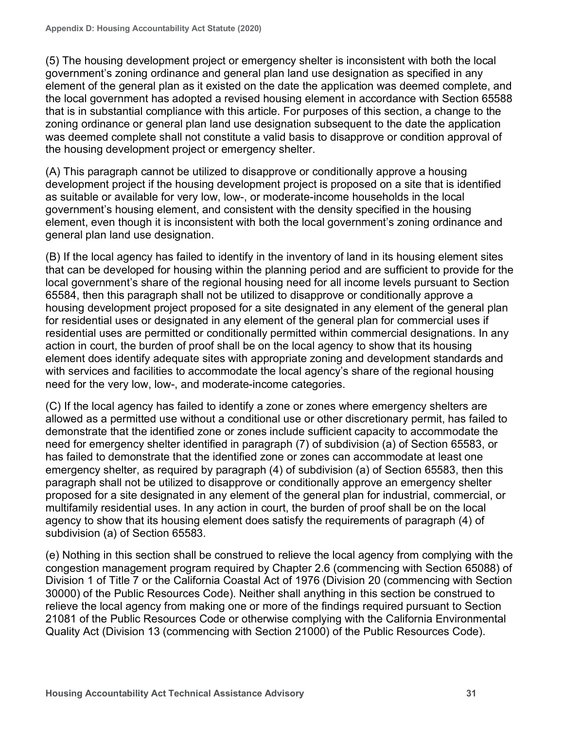(5) The housing development project or emergency shelter is inconsistent with both the local government's zoning ordinance and general plan land use designation as specified in any element of the general plan as it existed on the date the application was deemed complete, and the local government has adopted a revised housing element in accordance with Section 65588 that is in substantial compliance with this article. For purposes of this section, a change to the zoning ordinance or general plan land use designation subsequent to the date the application was deemed complete shall not constitute a valid basis to disapprove or condition approval of the housing development project or emergency shelter.

(A) This paragraph cannot be utilized to disapprove or conditionally approve a housing development project if the housing development project is proposed on a site that is identified as suitable or available for very low, low-, or moderate-income households in the local government's housing element, and consistent with the density specified in the housing element, even though it is inconsistent with both the local government's zoning ordinance and general plan land use designation.

(B) If the local agency has failed to identify in the inventory of land in its housing element sites that can be developed for housing within the planning period and are sufficient to provide for the local government's share of the regional housing need for all income levels pursuant to Section 65584, then this paragraph shall not be utilized to disapprove or conditionally approve a housing development project proposed for a site designated in any element of the general plan for residential uses or designated in any element of the general plan for commercial uses if residential uses are permitted or conditionally permitted within commercial designations. In any action in court, the burden of proof shall be on the local agency to show that its housing element does identify adequate sites with appropriate zoning and development standards and with services and facilities to accommodate the local agency's share of the regional housing need for the very low, low-, and moderate-income categories.

(C) If the local agency has failed to identify a zone or zones where emergency shelters are allowed as a permitted use without a conditional use or other discretionary permit, has failed to demonstrate that the identified zone or zones include sufficient capacity to accommodate the need for emergency shelter identified in paragraph (7) of subdivision (a) of Section 65583, or has failed to demonstrate that the identified zone or zones can accommodate at least one emergency shelter, as required by paragraph (4) of subdivision (a) of Section 65583, then this paragraph shall not be utilized to disapprove or conditionally approve an emergency shelter proposed for a site designated in any element of the general plan for industrial, commercial, or multifamily residential uses. In any action in court, the burden of proof shall be on the local agency to show that its housing element does satisfy the requirements of paragraph (4) of subdivision (a) of Section 65583.

(e) Nothing in this section shall be construed to relieve the local agency from complying with the congestion management program required by Chapter 2.6 (commencing with Section 65088) of Division 1 of Title 7 or the California Coastal Act of 1976 (Division 20 (commencing with Section 30000) of the Public Resources Code). Neither shall anything in this section be construed to relieve the local agency from making one or more of the findings required pursuant to Section 21081 of the Public Resources Code or otherwise complying with the California Environmental Quality Act (Division 13 (commencing with Section 21000) of the Public Resources Code).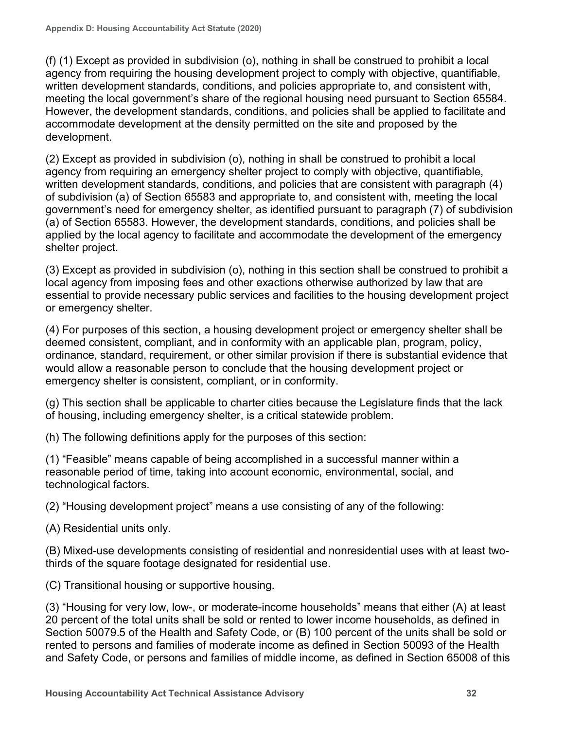(f) (1) Except as provided in subdivision (o), nothing in shall be construed to prohibit a local agency from requiring the housing development project to comply with objective, quantifiable, written development standards, conditions, and policies appropriate to, and consistent with, meeting the local government's share of the regional housing need pursuant to Section 65584. However, the development standards, conditions, and policies shall be applied to facilitate and accommodate development at the density permitted on the site and proposed by the development.

(2) Except as provided in subdivision (o), nothing in shall be construed to prohibit a local agency from requiring an emergency shelter project to comply with objective, quantifiable, written development standards, conditions, and policies that are consistent with paragraph (4) of subdivision (a) of Section 65583 and appropriate to, and consistent with, meeting the local government's need for emergency shelter, as identified pursuant to paragraph (7) of subdivision (a) of Section 65583. However, the development standards, conditions, and policies shall be applied by the local agency to facilitate and accommodate the development of the emergency shelter project.

(3) Except as provided in subdivision (o), nothing in this section shall be construed to prohibit a local agency from imposing fees and other exactions otherwise authorized by law that are essential to provide necessary public services and facilities to the housing development project or emergency shelter.

(4) For purposes of this section, a housing development project or emergency shelter shall be deemed consistent, compliant, and in conformity with an applicable plan, program, policy, ordinance, standard, requirement, or other similar provision if there is substantial evidence that would allow a reasonable person to conclude that the housing development project or emergency shelter is consistent, compliant, or in conformity.

(g) This section shall be applicable to charter cities because the Legislature finds that the lack of housing, including emergency shelter, is a critical statewide problem.

(h) The following definitions apply for the purposes of this section:

(1) "Feasible" means capable of being accomplished in a successful manner within a reasonable period of time, taking into account economic, environmental, social, and technological factors.

(2) "Housing development project" means a use consisting of any of the following:

(A) Residential units only.

(B) Mixed-use developments consisting of residential and nonresidential uses with at least twothirds of the square footage designated for residential use.

(C) Transitional housing or supportive housing.

(3) "Housing for very low, low-, or moderate-income households" means that either (A) at least 20 percent of the total units shall be sold or rented to lower income households, as defined in Section 50079.5 of the Health and Safety Code, or (B) 100 percent of the units shall be sold or rented to persons and families of moderate income as defined in Section 50093 of the Health and Safety Code, or persons and families of middle income, as defined in Section 65008 of this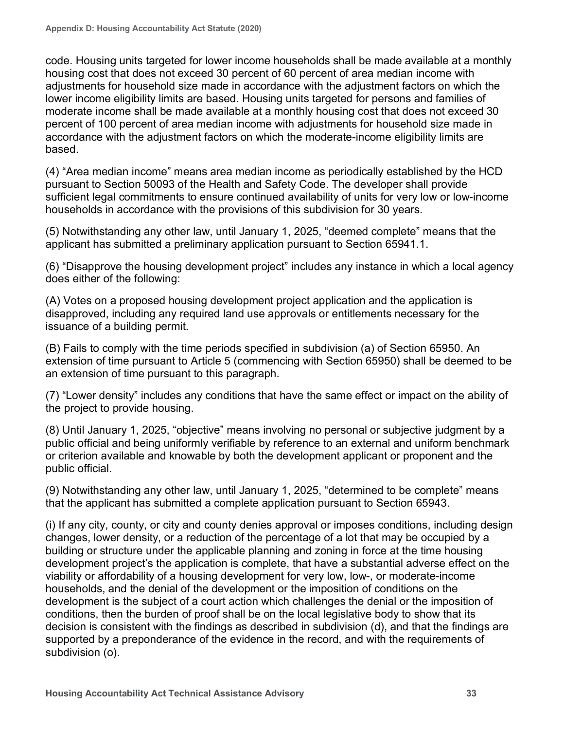code. Housing units targeted for lower income households shall be made available at a monthly housing cost that does not exceed 30 percent of 60 percent of area median income with adjustments for household size made in accordance with the adjustment factors on which the lower income eligibility limits are based. Housing units targeted for persons and families of moderate income shall be made available at a monthly housing cost that does not exceed 30 percent of 100 percent of area median income with adjustments for household size made in accordance with the adjustment factors on which the moderate-income eligibility limits are based.

(4) "Area median income" means area median income as periodically established by the HCD pursuant to Section 50093 of the Health and Safety Code. The developer shall provide sufficient legal commitments to ensure continued availability of units for very low or low-income households in accordance with the provisions of this subdivision for 30 years.

(5) Notwithstanding any other law, until January 1, 2025, "deemed complete" means that the applicant has submitted a preliminary application pursuant to Section 65941.1.

(6) "Disapprove the housing development project" includes any instance in which a local agency does either of the following:

(A) Votes on a proposed housing development project application and the application is disapproved, including any required land use approvals or entitlements necessary for the issuance of a building permit.

(B) Fails to comply with the time periods specified in subdivision (a) of Section 65950. An extension of time pursuant to Article 5 (commencing with Section 65950) shall be deemed to be an extension of time pursuant to this paragraph.

(7) "Lower density" includes any conditions that have the same effect or impact on the ability of the project to provide housing.

(8) Until January 1, 2025, "objective" means involving no personal or subjective judgment by a public official and being uniformly verifiable by reference to an external and uniform benchmark or criterion available and knowable by both the development applicant or proponent and the public official.

(9) Notwithstanding any other law, until January 1, 2025, "determined to be complete" means that the applicant has submitted a complete application pursuant to Section 65943.

(i) If any city, county, or city and county denies approval or imposes conditions, including design changes, lower density, or a reduction of the percentage of a lot that may be occupied by a building or structure under the applicable planning and zoning in force at the time housing development project's the application is complete, that have a substantial adverse effect on the viability or affordability of a housing development for very low, low-, or moderate-income households, and the denial of the development or the imposition of conditions on the development is the subject of a court action which challenges the denial or the imposition of conditions, then the burden of proof shall be on the local legislative body to show that its decision is consistent with the findings as described in subdivision (d), and that the findings are supported by a preponderance of the evidence in the record, and with the requirements of subdivision (o).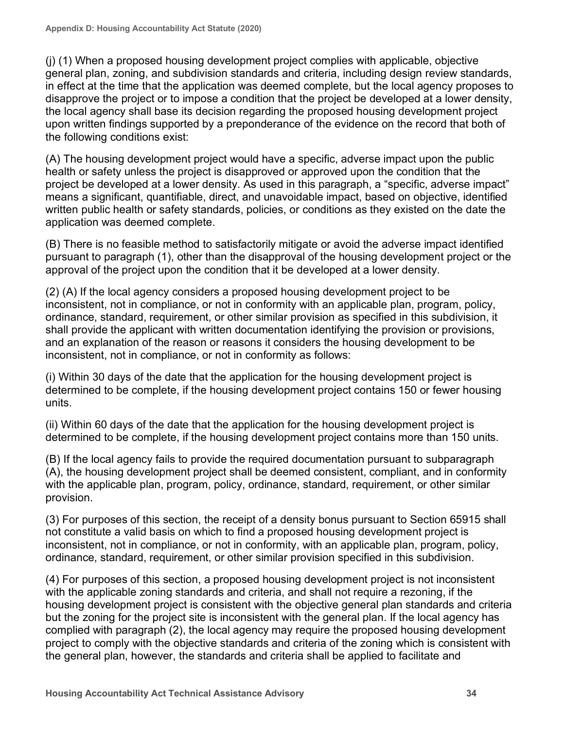(j) (1) When a proposed housing development project complies with applicable, objective general plan, zoning, and subdivision standards and criteria, including design review standards, in effect at the time that the application was deemed complete, but the local agency proposes to disapprove the project or to impose a condition that the project be developed at a lower density, the local agency shall base its decision regarding the proposed housing development project upon written findings supported by a preponderance of the evidence on the record that both of the following conditions exist:

(A) The housing development project would have a specific, adverse impact upon the public health or safety unless the project is disapproved or approved upon the condition that the project be developed at a lower density. As used in this paragraph, a "specific, adverse impact" means a significant, quantifiable, direct, and unavoidable impact, based on objective, identified written public health or safety standards, policies, or conditions as they existed on the date the application was deemed complete.

(B) There is no feasible method to satisfactorily mitigate or avoid the adverse impact identified pursuant to paragraph (1), other than the disapproval of the housing development project or the approval of the project upon the condition that it be developed at a lower density.

(2) (A) If the local agency considers a proposed housing development project to be inconsistent, not in compliance, or not in conformity with an applicable plan, program, policy, ordinance, standard, requirement, or other similar provision as specified in this subdivision, it shall provide the applicant with written documentation identifying the provision or provisions, and an explanation of the reason or reasons it considers the housing development to be inconsistent, not in compliance, or not in conformity as follows:

(i) Within 30 days of the date that the application for the housing development project is determined to be complete, if the housing development project contains 150 or fewer housing units.

(ii) Within 60 days of the date that the application for the housing development project is determined to be complete, if the housing development project contains more than 150 units.

(B) If the local agency fails to provide the required documentation pursuant to subparagraph (A), the housing development project shall be deemed consistent, compliant, and in conformity with the applicable plan, program, policy, ordinance, standard, requirement, or other similar provision.

(3) For purposes of this section, the receipt of a density bonus pursuant to Section 65915 shall not constitute a valid basis on which to find a proposed housing development project is inconsistent, not in compliance, or not in conformity, with an applicable plan, program, policy, ordinance, standard, requirement, or other similar provision specified in this subdivision.

(4) For purposes of this section, a proposed housing development project is not inconsistent with the applicable zoning standards and criteria, and shall not require a rezoning, if the housing development project is consistent with the objective general plan standards and criteria but the zoning for the project site is inconsistent with the general plan. If the local agency has complied with paragraph (2), the local agency may require the proposed housing development project to comply with the objective standards and criteria of the zoning which is consistent with the general plan, however, the standards and criteria shall be applied to facilitate and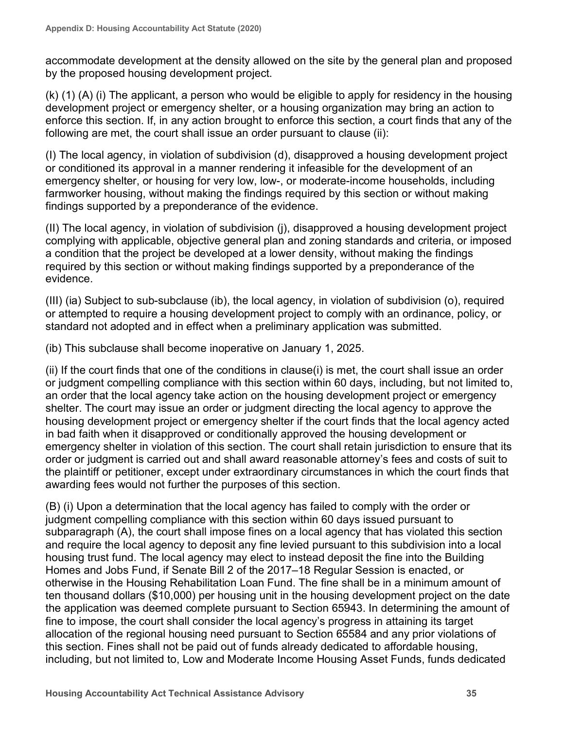accommodate development at the density allowed on the site by the general plan and proposed by the proposed housing development project.

(k) (1) (A) (i) The applicant, a person who would be eligible to apply for residency in the housing development project or emergency shelter, or a housing organization may bring an action to enforce this section. If, in any action brought to enforce this section, a court finds that any of the following are met, the court shall issue an order pursuant to clause (ii):

(I) The local agency, in violation of subdivision (d), disapproved a housing development project or conditioned its approval in a manner rendering it infeasible for the development of an emergency shelter, or housing for very low, low-, or moderate-income households, including farmworker housing, without making the findings required by this section or without making findings supported by a preponderance of the evidence.

(II) The local agency, in violation of subdivision (j), disapproved a housing development project complying with applicable, objective general plan and zoning standards and criteria, or imposed a condition that the project be developed at a lower density, without making the findings required by this section or without making findings supported by a preponderance of the evidence.

(III) (ia) Subject to sub-subclause (ib), the local agency, in violation of subdivision (o), required or attempted to require a housing development project to comply with an ordinance, policy, or standard not adopted and in effect when a preliminary application was submitted.

(ib) This subclause shall become inoperative on January 1, 2025.

(ii) If the court finds that one of the conditions in clause(i) is met, the court shall issue an order or judgment compelling compliance with this section within 60 days, including, but not limited to, an order that the local agency take action on the housing development project or emergency shelter. The court may issue an order or judgment directing the local agency to approve the housing development project or emergency shelter if the court finds that the local agency acted in bad faith when it disapproved or conditionally approved the housing development or emergency shelter in violation of this section. The court shall retain jurisdiction to ensure that its order or judgment is carried out and shall award reasonable attorney's fees and costs of suit to the plaintiff or petitioner, except under extraordinary circumstances in which the court finds that awarding fees would not further the purposes of this section.

(B) (i) Upon a determination that the local agency has failed to comply with the order or judgment compelling compliance with this section within 60 days issued pursuant to subparagraph (A), the court shall impose fines on a local agency that has violated this section and require the local agency to deposit any fine levied pursuant to this subdivision into a local housing trust fund. The local agency may elect to instead deposit the fine into the Building Homes and Jobs Fund, if Senate Bill 2 of the 2017–18 Regular Session is enacted, or otherwise in the Housing Rehabilitation Loan Fund. The fine shall be in a minimum amount of ten thousand dollars (\$10,000) per housing unit in the housing development project on the date the application was deemed complete pursuant to Section 65943. In determining the amount of fine to impose, the court shall consider the local agency's progress in attaining its target allocation of the regional housing need pursuant to Section 65584 and any prior violations of this section. Fines shall not be paid out of funds already dedicated to affordable housing, including, but not limited to, Low and Moderate Income Housing Asset Funds, funds dedicated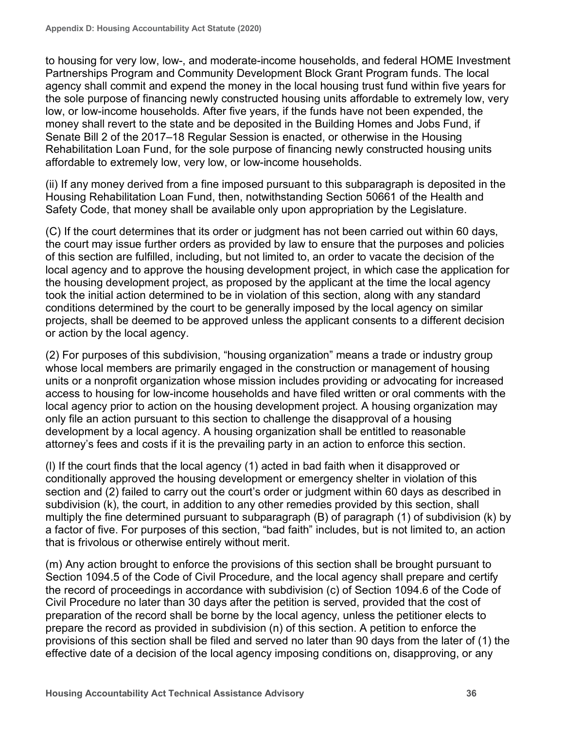to housing for very low, low-, and moderate-income households, and federal HOME Investment Partnerships Program and Community Development Block Grant Program funds. The local agency shall commit and expend the money in the local housing trust fund within five years for the sole purpose of financing newly constructed housing units affordable to extremely low, very low, or low-income households. After five years, if the funds have not been expended, the money shall revert to the state and be deposited in the Building Homes and Jobs Fund, if Senate Bill 2 of the 2017–18 Regular Session is enacted, or otherwise in the Housing Rehabilitation Loan Fund, for the sole purpose of financing newly constructed housing units affordable to extremely low, very low, or low-income households.

(ii) If any money derived from a fine imposed pursuant to this subparagraph is deposited in the Housing Rehabilitation Loan Fund, then, notwithstanding Section 50661 of the Health and Safety Code, that money shall be available only upon appropriation by the Legislature.

(C) If the court determines that its order or judgment has not been carried out within 60 days, the court may issue further orders as provided by law to ensure that the purposes and policies of this section are fulfilled, including, but not limited to, an order to vacate the decision of the local agency and to approve the housing development project, in which case the application for the housing development project, as proposed by the applicant at the time the local agency took the initial action determined to be in violation of this section, along with any standard conditions determined by the court to be generally imposed by the local agency on similar projects, shall be deemed to be approved unless the applicant consents to a different decision or action by the local agency.

(2) For purposes of this subdivision, "housing organization" means a trade or industry group whose local members are primarily engaged in the construction or management of housing units or a nonprofit organization whose mission includes providing or advocating for increased access to housing for low-income households and have filed written or oral comments with the local agency prior to action on the housing development project. A housing organization may only file an action pursuant to this section to challenge the disapproval of a housing development by a local agency. A housing organization shall be entitled to reasonable attorney's fees and costs if it is the prevailing party in an action to enforce this section.

(l) If the court finds that the local agency (1) acted in bad faith when it disapproved or conditionally approved the housing development or emergency shelter in violation of this section and (2) failed to carry out the court's order or judgment within 60 days as described in subdivision (k), the court, in addition to any other remedies provided by this section, shall multiply the fine determined pursuant to subparagraph (B) of paragraph (1) of subdivision (k) by a factor of five. For purposes of this section, "bad faith" includes, but is not limited to, an action that is frivolous or otherwise entirely without merit.

(m) Any action brought to enforce the provisions of this section shall be brought pursuant to Section 1094.5 of the Code of Civil Procedure, and the local agency shall prepare and certify the record of proceedings in accordance with subdivision (c) of Section 1094.6 of the Code of Civil Procedure no later than 30 days after the petition is served, provided that the cost of preparation of the record shall be borne by the local agency, unless the petitioner elects to prepare the record as provided in subdivision (n) of this section. A petition to enforce the provisions of this section shall be filed and served no later than 90 days from the later of (1) the effective date of a decision of the local agency imposing conditions on, disapproving, or any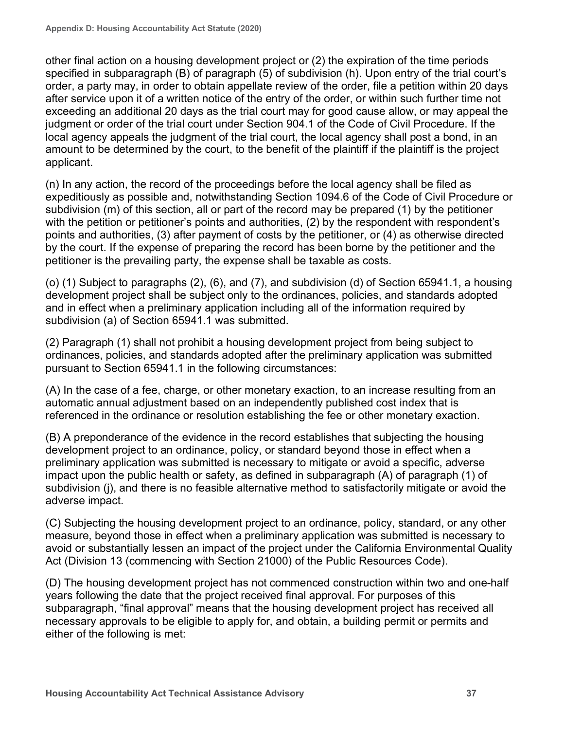other final action on a housing development project or (2) the expiration of the time periods specified in subparagraph (B) of paragraph (5) of subdivision (h). Upon entry of the trial court's order, a party may, in order to obtain appellate review of the order, file a petition within 20 days after service upon it of a written notice of the entry of the order, or within such further time not exceeding an additional 20 days as the trial court may for good cause allow, or may appeal the judgment or order of the trial court under Section 904.1 of the Code of Civil Procedure. If the local agency appeals the judgment of the trial court, the local agency shall post a bond, in an amount to be determined by the court, to the benefit of the plaintiff if the plaintiff is the project applicant.

(n) In any action, the record of the proceedings before the local agency shall be filed as expeditiously as possible and, notwithstanding Section 1094.6 of the Code of Civil Procedure or subdivision (m) of this section, all or part of the record may be prepared (1) by the petitioner with the petition or petitioner's points and authorities, (2) by the respondent with respondent's points and authorities, (3) after payment of costs by the petitioner, or (4) as otherwise directed by the court. If the expense of preparing the record has been borne by the petitioner and the petitioner is the prevailing party, the expense shall be taxable as costs.

(o) (1) Subject to paragraphs (2), (6), and (7), and subdivision (d) of Section 65941.1, a housing development project shall be subject only to the ordinances, policies, and standards adopted and in effect when a preliminary application including all of the information required by subdivision (a) of Section 65941.1 was submitted.

(2) Paragraph (1) shall not prohibit a housing development project from being subject to ordinances, policies, and standards adopted after the preliminary application was submitted pursuant to Section 65941.1 in the following circumstances:

(A) In the case of a fee, charge, or other monetary exaction, to an increase resulting from an automatic annual adjustment based on an independently published cost index that is referenced in the ordinance or resolution establishing the fee or other monetary exaction.

(B) A preponderance of the evidence in the record establishes that subjecting the housing development project to an ordinance, policy, or standard beyond those in effect when a preliminary application was submitted is necessary to mitigate or avoid a specific, adverse impact upon the public health or safety, as defined in subparagraph (A) of paragraph (1) of subdivision (j), and there is no feasible alternative method to satisfactorily mitigate or avoid the adverse impact.

(C) Subjecting the housing development project to an ordinance, policy, standard, or any other measure, beyond those in effect when a preliminary application was submitted is necessary to avoid or substantially lessen an impact of the project under the California Environmental Quality Act (Division 13 (commencing with Section 21000) of the Public Resources Code).

(D) The housing development project has not commenced construction within two and one-half years following the date that the project received final approval. For purposes of this subparagraph, "final approval" means that the housing development project has received all necessary approvals to be eligible to apply for, and obtain, a building permit or permits and either of the following is met: